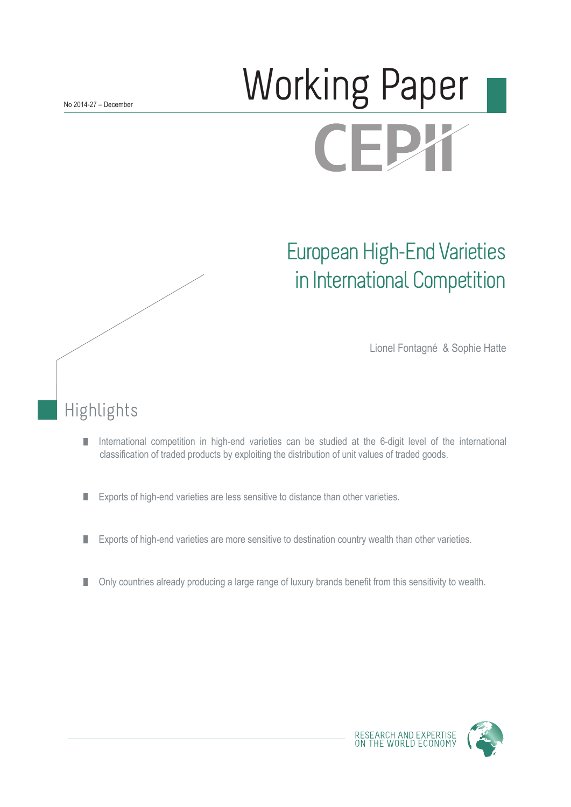# Working Paper **CEPX**

# European High-End Varieties in International Competition

Lionel Fontagné & Sophie Hatte

## Highlights

- International competition in high-end varieties can be studied at the 6-digit level of the international П classification of traded products by exploiting the distribution of unit values of traded goods.
- Exports of high-end varieties are less sensitive to distance than other varieties. П
- $\overline{\phantom{a}}$ Exports of high-end varieties are more sensitive to destination country wealth than other varieties.
- Only countries already producing a large range of luxury brands benefit from this sensitivity to wealth. П

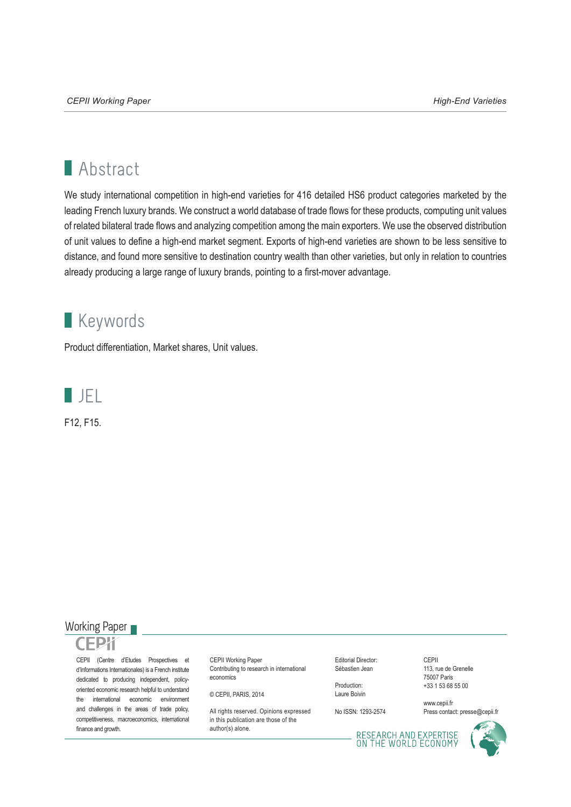## **Abstract**

We study international competition in high-end varieties for 416 detailed HS6 product categories marketed by the leading French luxury brands. We construct a world database of trade flows for these products, computing unit values of related bilateral trade flows and analyzing competition among the main exporters. We use the observed distribution of unit values to define a high-end market segment. Exports of high-end varieties are shown to be less sensitive to distance, and found more sensitive to destination country wealth than other varieties, but only in relation to countries already producing a large range of luxury brands, pointing to a first-mover advantage.

### **Keywords**

Product differentiation, Market shares, Unit values.



F12, F15.



finance and growth.

#### CEPII (Centre d'Etudes Prospectives et d'Informations Internationales) is a French institute dedicated to producing independent, policyoriented economic research helpful to understand the international economic environment and challenges in the areas of trade policy, competitiveness, macroeconomics, international

CEPII Working Paper Contributing to research in international economics

© CEPII, PARIS, 2014

All rights reserved. Opinions expressed in this publication are those of the author(s) alone.

Editorial Director: Sébastien Jean

Production: Laure Boivin

No ISSN: 1293-2574

CEPII 113, rue de Grenelle 75007 Paris +33 1 53 68 55 00

www.cepii.fr Press contact: presse@cepii.fr

RESEARCH AND EXPERTISE<br>ON THE WORLD ECONOMY

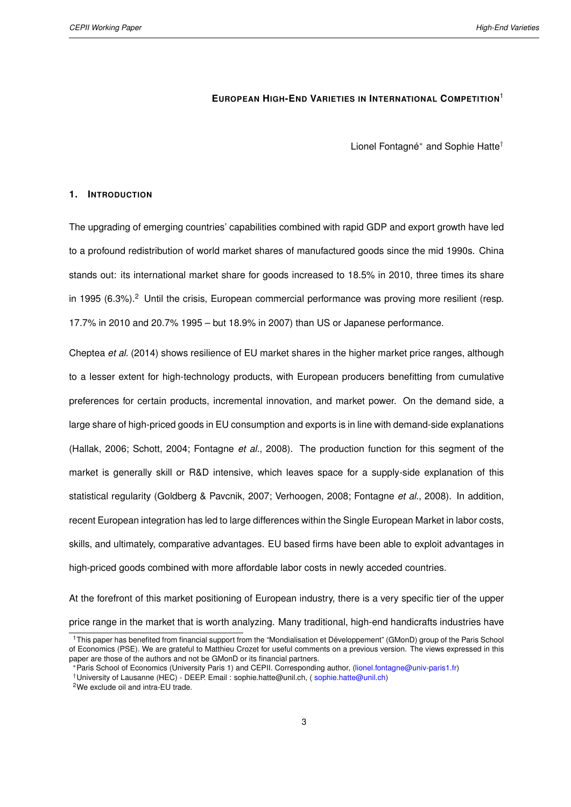#### **EUROPEAN HIGH-END VARIETIES IN INTERNATIONAL COMPETITION**<sup>1</sup>

Lionel Fontagné<sup>∗</sup> and Sophie Hatte†

#### <span id="page-2-0"></span>**1. INTRODUCTION**

The upgrading of emerging countries' capabilities combined with rapid GDP and export growth have led to a profound redistribution of world market shares of manufactured goods since the mid 1990s. China stands out: its international market share for goods increased to 18.5% in 2010, three times its share in 1995  $(6.3\%)$ .<sup>2</sup> Until the crisis, European commercial performance was proving more resilient (resp. 17.7% in 2010 and 20.7% 1995 – but 18.9% in 2007) than US or Japanese performance.

[Cheptea](#page-19-0) *et al.* [\(2014\)](#page-19-0) shows resilience of EU market shares in the higher market price ranges, although to a lesser extent for high-technology products, with European producers benefitting from cumulative preferences for certain products, incremental innovation, and market power. On the demand side, a large share of high-priced goods in EU consumption and exports is in line with demand-side explanations [\(Hallak,](#page-19-1) [2006;](#page-19-1) [Schott,](#page-20-0) [2004;](#page-20-0) [Fontagne](#page-19-2) *et al.*, [2008\)](#page-19-2). The production function for this segment of the market is generally skill or R&D intensive, which leaves space for a supply-side explanation of this statistical regularity [\(Goldberg & Pavcnik,](#page-19-3) [2007;](#page-19-3) [Verhoogen,](#page-20-1) [2008;](#page-20-1) [Fontagne](#page-19-2) *et al.*, [2008\)](#page-19-2). In addition, recent European integration has led to large differences within the Single European Market in labor costs, skills, and ultimately, comparative advantages. EU based firms have been able to exploit advantages in high-priced goods combined with more affordable labor costs in newly acceded countries.

At the forefront of this market positioning of European industry, there is a very specific tier of the upper price range in the market that is worth analyzing. Many traditional, high-end handicrafts industries have

<sup>1</sup>This paper has benefited from financial support from the "Mondialisation et Développement" (GMonD) group of the Paris School of Economics (PSE). We are grateful to Matthieu Crozet for useful comments on a previous version. The views expressed in this paper are those of the authors and not be GMonD or its financial partners.

<sup>∗</sup>Paris School of Economics (University Paris 1) and CEPII. Corresponding author, [\(lionel.fontagne@univ-paris1.fr\)](mailto:lionel.fontagne@univ-paris1.fr)

<sup>†</sup>University of Lausanne (HEC) - DEEP. Email : sophie.hatte@unil.ch, ( [sophie.hatte@unil.ch\)](mailto:sophie.hatte@unil.ch)

<sup>2</sup>We exclude oil and intra-EU trade.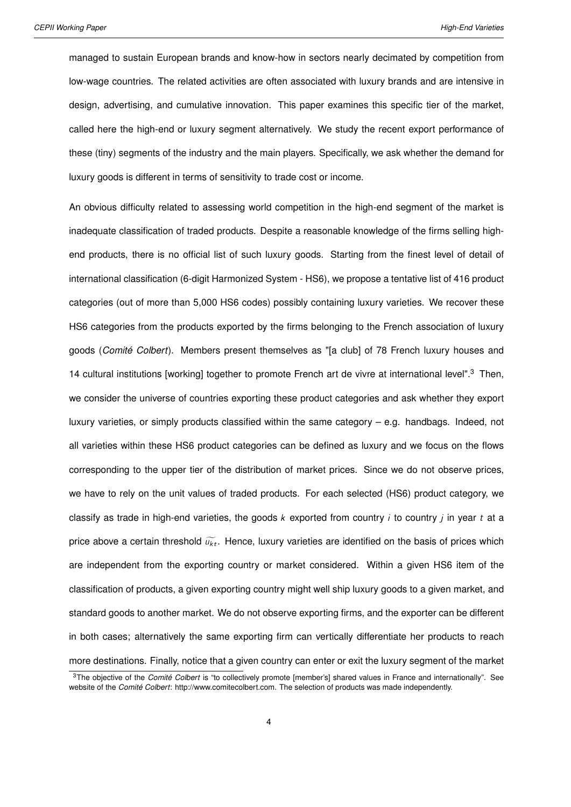managed to sustain European brands and know-how in sectors nearly decimated by competition from low-wage countries. The related activities are often associated with luxury brands and are intensive in design, advertising, and cumulative innovation. This paper examines this specific tier of the market, called here the high-end or luxury segment alternatively. We study the recent export performance of these (tiny) segments of the industry and the main players. Specifically, we ask whether the demand for luxury goods is different in terms of sensitivity to trade cost or income.

An obvious difficulty related to assessing world competition in the high-end segment of the market is inadequate classification of traded products. Despite a reasonable knowledge of the firms selling highend products, there is no official list of such luxury goods. Starting from the finest level of detail of international classification (6-digit Harmonized System - HS6), we propose a tentative list of 416 product categories (out of more than 5,000 HS6 codes) possibly containing luxury varieties. We recover these HS6 categories from the products exported by the firms belonging to the French association of luxury goods (*Comité Colbert*). Members present themselves as "[a club] of 78 French luxury houses and 14 cultural institutions [working] together to promote French art de vivre at international level".[3](#page-2-0) Then, we consider the universe of countries exporting these product categories and ask whether they export luxury varieties, or simply products classified within the same category – e.g. handbags. Indeed, not all varieties within these HS6 product categories can be defined as luxury and we focus on the flows corresponding to the upper tier of the distribution of market prices. Since we do not observe prices, we have to rely on the unit values of traded products. For each selected (HS6) product category, we classify as trade in high-end varieties, the goods  $k$  exported from country  $i$  to country  $j$  in year  $t$  at a price above a certain threshold  $\widetilde{u_{kt}}$ . Hence, luxury varieties are identified on the basis of prices which are independent from the exporting country or market considered. Within a given HS6 item of the classification of products, a given exporting country might well ship luxury goods to a given market, and standard goods to another market. We do not observe exporting firms, and the exporter can be different in both cases; alternatively the same exporting firm can vertically differentiate her products to reach more destinations. Finally, notice that a given country can enter or exit the luxury segment of the market

<sup>3</sup>The objective of the *Comité Colbert* is "to collectively promote [member's] shared values in France and internationally". See website of the *Comité Colbert*: http://www.comitecolbert.com. The selection of products was made independently.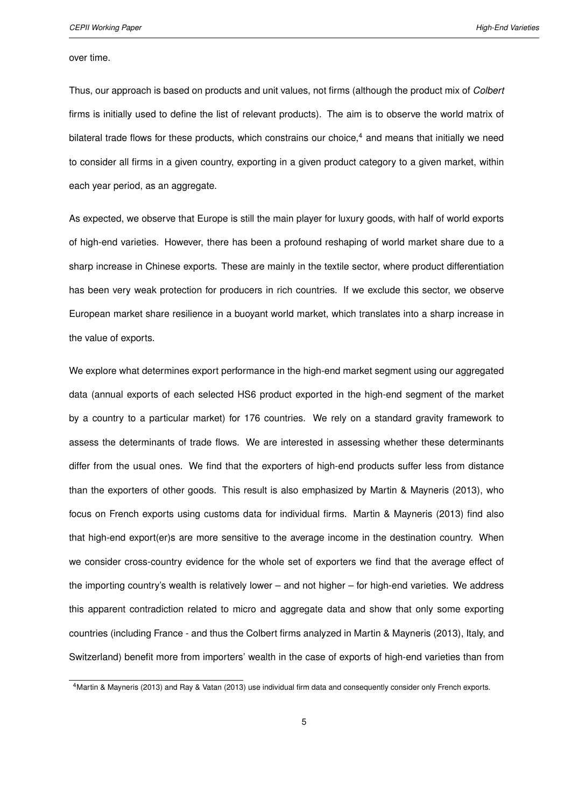over time.

Thus, our approach is based on products and unit values, not firms (although the product mix of *Colbert* firms is initially used to define the list of relevant products). The aim is to observe the world matrix of bilateral trade flows for these products, which constrains our choice, $4$  and means that initially we need to consider all firms in a given country, exporting in a given product category to a given market, within each year period, as an aggregate.

As expected, we observe that Europe is still the main player for luxury goods, with half of world exports of high-end varieties. However, there has been a profound reshaping of world market share due to a sharp increase in Chinese exports. These are mainly in the textile sector, where product differentiation has been very weak protection for producers in rich countries. If we exclude this sector, we observe European market share resilience in a buoyant world market, which translates into a sharp increase in the value of exports.

We explore what determines export performance in the high-end market segment using our aggregated data (annual exports of each selected HS6 product exported in the high-end segment of the market by a country to a particular market) for 176 countries. We rely on a standard gravity framework to assess the determinants of trade flows. We are interested in assessing whether these determinants differ from the usual ones. We find that the exporters of high-end products suffer less from distance than the exporters of other goods. This result is also emphasized by [Martin & Mayneris](#page-20-2) [\(2013\)](#page-20-2), who focus on French exports using customs data for individual firms. [Martin & Mayneris](#page-20-2) [\(2013\)](#page-20-2) find also that high-end export(er)s are more sensitive to the average income in the destination country. When we consider cross-country evidence for the whole set of exporters we find that the average effect of the importing country's wealth is relatively lower – and not higher – for high-end varieties. We address this apparent contradiction related to micro and aggregate data and show that only some exporting countries (including France - and thus the Colbert firms analyzed in [Martin & Mayneris](#page-20-2) [\(2013\)](#page-20-2), Italy, and Switzerland) benefit more from importers' wealth in the case of exports of high-end varieties than from

<sup>4</sup>[Martin & Mayneris](#page-20-2) [\(2013\)](#page-20-2) and [Ray & Vatan](#page-20-3) [\(2013\)](#page-20-3) use individual firm data and consequently consider only French exports.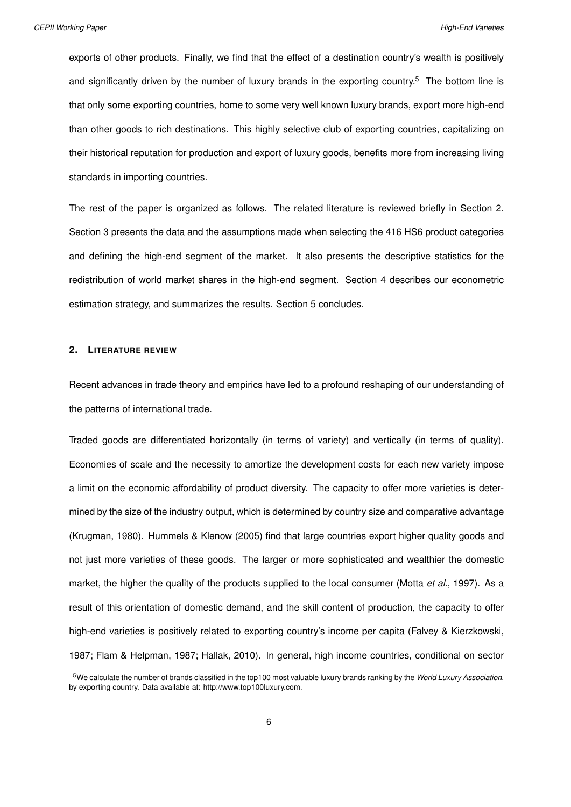exports of other products. Finally, we find that the effect of a destination country's wealth is positively and significantly driven by the number of luxury brands in the exporting country.<sup>[5](#page-2-0)</sup> The bottom line is that only some exporting countries, home to some very well known luxury brands, export more high-end than other goods to rich destinations. This highly selective club of exporting countries, capitalizing on their historical reputation for production and export of luxury goods, benefits more from increasing living standards in importing countries.

The rest of the paper is organized as follows. The related literature is reviewed briefly in Section 2. Section 3 presents the data and the assumptions made when selecting the 416 HS6 product categories and defining the high-end segment of the market. It also presents the descriptive statistics for the redistribution of world market shares in the high-end segment. Section 4 describes our econometric estimation strategy, and summarizes the results. Section 5 concludes.

#### **2. LITERATURE REVIEW**

Recent advances in trade theory and empirics have led to a profound reshaping of our understanding of the patterns of international trade.

Traded goods are differentiated horizontally (in terms of variety) and vertically (in terms of quality). Economies of scale and the necessity to amortize the development costs for each new variety impose a limit on the economic affordability of product diversity. The capacity to offer more varieties is determined by the size of the industry output, which is determined by country size and comparative advantage [\(Krugman,](#page-20-4) [1980\)](#page-20-4). [Hummels & Klenow](#page-20-5) [\(2005\)](#page-20-5) find that large countries export higher quality goods and not just more varieties of these goods. The larger or more sophisticated and wealthier the domestic market, the higher the quality of the products supplied to the local consumer [\(Motta](#page-20-6) *et al.*, [1997\)](#page-20-6). As a result of this orientation of domestic demand, and the skill content of production, the capacity to offer high-end varieties is positively related to exporting country's income per capita [\(Falvey & Kierzkowski,](#page-19-4) [1987;](#page-19-4) [Flam & Helpman,](#page-19-5) [1987;](#page-19-5) [Hallak,](#page-20-7) [2010\)](#page-20-7). In general, high income countries, conditional on sector

<sup>5</sup>We calculate the number of brands classified in the top100 most valuable luxury brands ranking by the *World Luxury Association*, by exporting country. Data available at: http://www.top100luxury.com.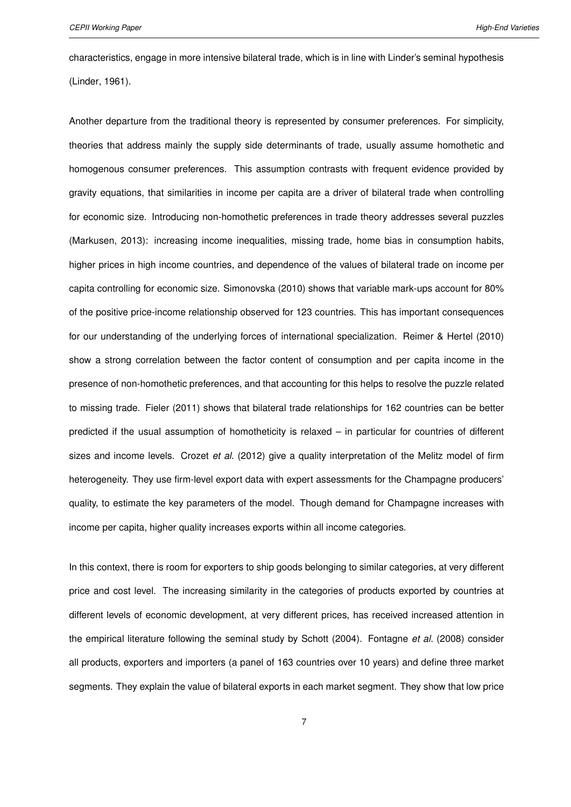characteristics, engage in more intensive bilateral trade, which is in line with Linder's seminal hypothesis [\(Linder,](#page-20-8) [1961\)](#page-20-8).

Another departure from the traditional theory is represented by consumer preferences. For simplicity, theories that address mainly the supply side determinants of trade, usually assume homothetic and homogenous consumer preferences. This assumption contrasts with frequent evidence provided by gravity equations, that similarities in income per capita are a driver of bilateral trade when controlling for economic size. Introducing non-homothetic preferences in trade theory addresses several puzzles [\(Markusen,](#page-20-9) [2013\)](#page-20-9): increasing income inequalities, missing trade, home bias in consumption habits, higher prices in high income countries, and dependence of the values of bilateral trade on income per capita controlling for economic size. [Simonovska](#page-20-10) [\(2010\)](#page-20-10) shows that variable mark-ups account for 80% of the positive price-income relationship observed for 123 countries. This has important consequences for our understanding of the underlying forces of international specialization. [Reimer & Hertel](#page-20-11) [\(2010\)](#page-20-11) show a strong correlation between the factor content of consumption and per capita income in the presence of non-homothetic preferences, and that accounting for this helps to resolve the puzzle related to missing trade. [Fieler](#page-19-6) [\(2011\)](#page-19-6) shows that bilateral trade relationships for 162 countries can be better predicted if the usual assumption of homotheticity is relaxed – in particular for countries of different sizes and income levels. [Crozet](#page-19-7) *et al.* [\(2012\)](#page-19-7) give a quality interpretation of the Melitz model of firm heterogeneity. They use firm-level export data with expert assessments for the Champagne producers' quality, to estimate the key parameters of the model. Though demand for Champagne increases with income per capita, higher quality increases exports within all income categories.

In this context, there is room for exporters to ship goods belonging to similar categories, at very different price and cost level. The increasing similarity in the categories of products exported by countries at different levels of economic development, at very different prices, has received increased attention in the empirical literature following the seminal study by [Schott](#page-20-0) [\(2004\)](#page-20-0). [Fontagne](#page-19-2) *et al.* [\(2008\)](#page-19-2) consider all products, exporters and importers (a panel of 163 countries over 10 years) and define three market segments. They explain the value of bilateral exports in each market segment. They show that low price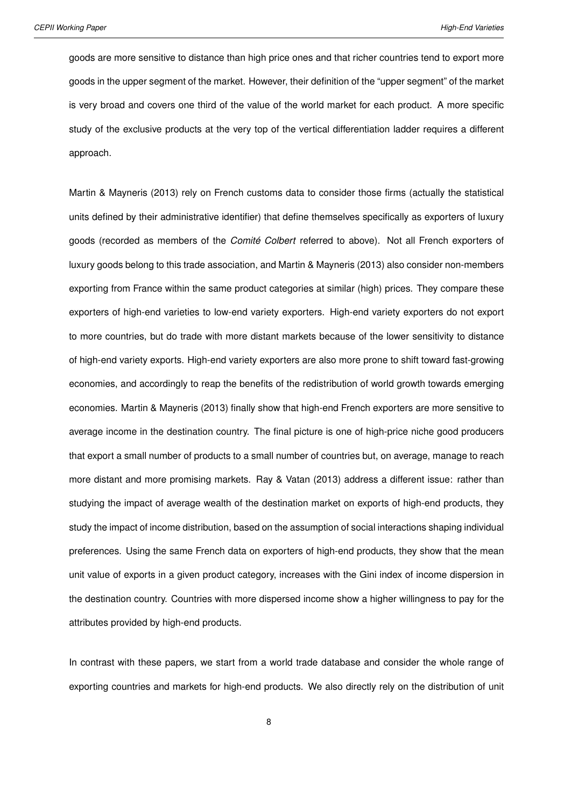goods are more sensitive to distance than high price ones and that richer countries tend to export more goods in the upper segment of the market. However, their definition of the "upper segment" of the market is very broad and covers one third of the value of the world market for each product. A more specific study of the exclusive products at the very top of the vertical differentiation ladder requires a different approach.

[Martin & Mayneris](#page-20-2) [\(2013\)](#page-20-2) rely on French customs data to consider those firms (actually the statistical units defined by their administrative identifier) that define themselves specifically as exporters of luxury goods (recorded as members of the *Comité Colbert* referred to above). Not all French exporters of luxury goods belong to this trade association, and [Martin & Mayneris](#page-20-2) [\(2013\)](#page-20-2) also consider non-members exporting from France within the same product categories at similar (high) prices. They compare these exporters of high-end varieties to low-end variety exporters. High-end variety exporters do not export to more countries, but do trade with more distant markets because of the lower sensitivity to distance of high-end variety exports. High-end variety exporters are also more prone to shift toward fast-growing economies, and accordingly to reap the benefits of the redistribution of world growth towards emerging economies. [Martin & Mayneris](#page-20-2) [\(2013\)](#page-20-2) finally show that high-end French exporters are more sensitive to average income in the destination country. The final picture is one of high-price niche good producers that export a small number of products to a small number of countries but, on average, manage to reach more distant and more promising markets. [Ray & Vatan](#page-20-3) [\(2013\)](#page-20-3) address a different issue: rather than studying the impact of average wealth of the destination market on exports of high-end products, they study the impact of income distribution, based on the assumption of social interactions shaping individual preferences. Using the same French data on exporters of high-end products, they show that the mean unit value of exports in a given product category, increases with the Gini index of income dispersion in the destination country. Countries with more dispersed income show a higher willingness to pay for the attributes provided by high-end products.

In contrast with these papers, we start from a world trade database and consider the whole range of exporting countries and markets for high-end products. We also directly rely on the distribution of unit

8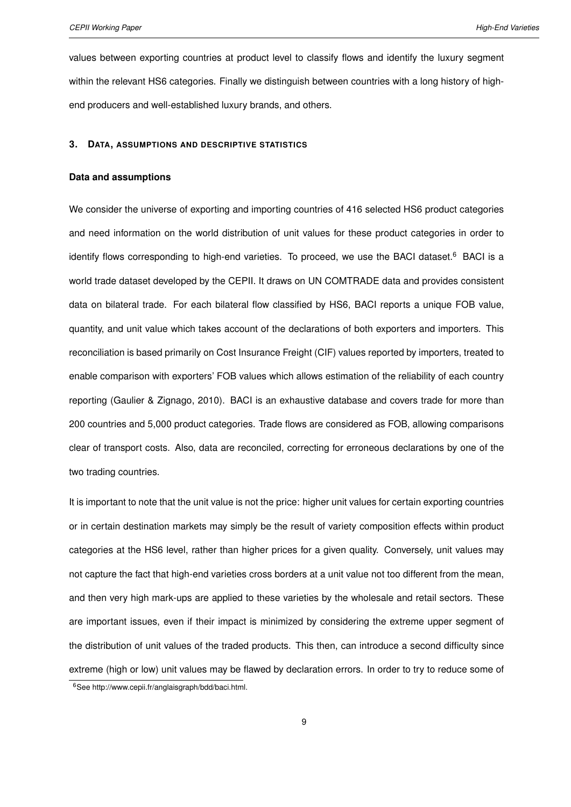values between exporting countries at product level to classify flows and identify the luxury segment within the relevant HS6 categories. Finally we distinguish between countries with a long history of highend producers and well-established luxury brands, and others.

#### **3. DATA, ASSUMPTIONS AND DESCRIPTIVE STATISTICS**

#### **Data and assumptions**

We consider the universe of exporting and importing countries of 416 selected HS6 product categories and need information on the world distribution of unit values for these product categories in order to identify flows corresponding to high-end varieties. To proceed, we use the BACI dataset.<sup>[6](#page-2-0)</sup> BACI is a world trade dataset developed by the CEPII. It draws on UN COMTRADE data and provides consistent data on bilateral trade. For each bilateral flow classified by HS6, BACI reports a unique FOB value, quantity, and unit value which takes account of the declarations of both exporters and importers. This reconciliation is based primarily on Cost Insurance Freight (CIF) values reported by importers, treated to enable comparison with exporters' FOB values which allows estimation of the reliability of each country reporting [\(Gaulier & Zignago,](#page-19-8) [2010\)](#page-19-8). BACI is an exhaustive database and covers trade for more than 200 countries and 5,000 product categories. Trade flows are considered as FOB, allowing comparisons clear of transport costs. Also, data are reconciled, correcting for erroneous declarations by one of the two trading countries.

It is important to note that the unit value is not the price: higher unit values for certain exporting countries or in certain destination markets may simply be the result of variety composition effects within product categories at the HS6 level, rather than higher prices for a given quality. Conversely, unit values may not capture the fact that high-end varieties cross borders at a unit value not too different from the mean, and then very high mark-ups are applied to these varieties by the wholesale and retail sectors. These are important issues, even if their impact is minimized by considering the extreme upper segment of the distribution of unit values of the traded products. This then, can introduce a second difficulty since extreme (high or low) unit values may be flawed by declaration errors. In order to try to reduce some of

<sup>6</sup>See http://www.cepii.fr/anglaisgraph/bdd/baci.html.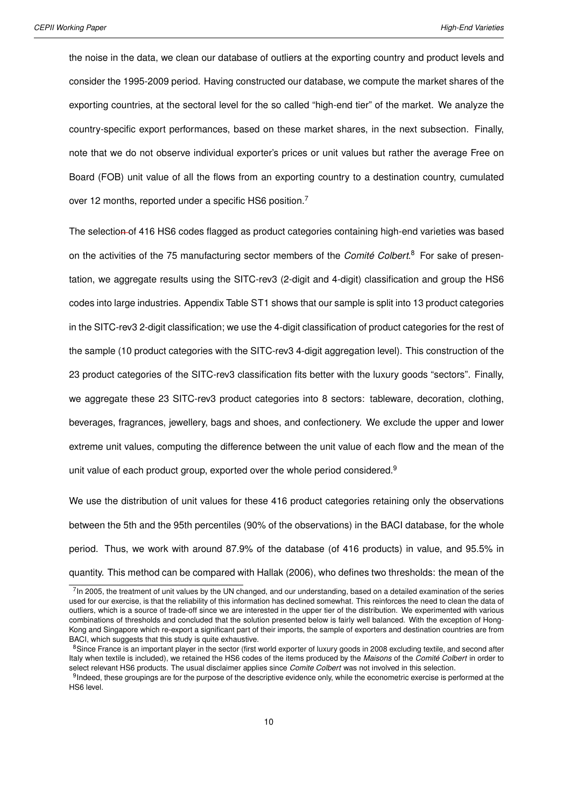the noise in the data, we clean our database of outliers at the exporting country and product levels and consider the 1995-2009 period. Having constructed our database, we compute the market shares of the exporting countries, at the sectoral level for the so called "high-end tier" of the market. We analyze the country-specific export performances, based on these market shares, in the next subsection. Finally, note that we do not observe individual exporter's prices or unit values but rather the average Free on Board (FOB) unit value of all the flows from an exporting country to a destination country, cumulated over 12 months, reported under a specific HS6 position.<sup>[7](#page-2-0)</sup>

The selection of 416 HS6 codes flagged as product categories containing high-end varieties was based on the activities of the 75 manufacturing sector members of the *Comité Colbert*. [8](#page-2-0) For sake of presentation, we aggregate results using the SITC-rev3 (2-digit and 4-digit) classification and group the HS6 codes into large industries. Appendix Table [ST1](#page-26-0) shows that our sample is split into 13 product categories in the SITC-rev3 2-digit classification; we use the 4-digit classification of product categories for the rest of the sample (10 product categories with the SITC-rev3 4-digit aggregation level). This construction of the 23 product categories of the SITC-rev3 classification fits better with the luxury goods "sectors". Finally, we aggregate these 23 SITC-rev3 product categories into 8 sectors: tableware, decoration, clothing, beverages, fragrances, jewellery, bags and shoes, and confectionery. We exclude the upper and lower extreme unit values, computing the difference between the unit value of each flow and the mean of the unit value of each product group, exported over the whole period considered.<sup>[9](#page-2-0)</sup>

We use the distribution of unit values for these 416 product categories retaining only the observations between the 5th and the 95th percentiles (90% of the observations) in the BACI database, for the whole period. Thus, we work with around 87.9% of the database (of 416 products) in value, and 95.5% in quantity. This method can be compared with [Hallak](#page-19-1) [\(2006\)](#page-19-1), who defines two thresholds: the mean of the

<sup>&</sup>lt;sup>7</sup> In 2005, the treatment of unit values by the UN changed, and our understanding, based on a detailed examination of the series used for our exercise, is that the reliability of this information has declined somewhat. This reinforces the need to clean the data of outliers, which is a source of trade-off since we are interested in the upper tier of the distribution. We experimented with various combinations of thresholds and concluded that the solution presented below is fairly well balanced. With the exception of Hong-Kong and Singapore which re-export a significant part of their imports, the sample of exporters and destination countries are from BACI, which suggests that this study is quite exhaustive.

<sup>&</sup>lt;sup>8</sup>Since France is an important player in the sector (first world exporter of luxury goods in 2008 excluding textile, and second after Italy when textile is included), we retained the HS6 codes of the items produced by the *Maisons* of the *Comité Colbert* in order to select relevant HS6 products. The usual disclaimer applies since *Comite Colbert* was not involved in this selection.

<sup>&</sup>lt;sup>9</sup>Indeed, these groupings are for the purpose of the descriptive evidence only, while the econometric exercise is performed at the HS6 level.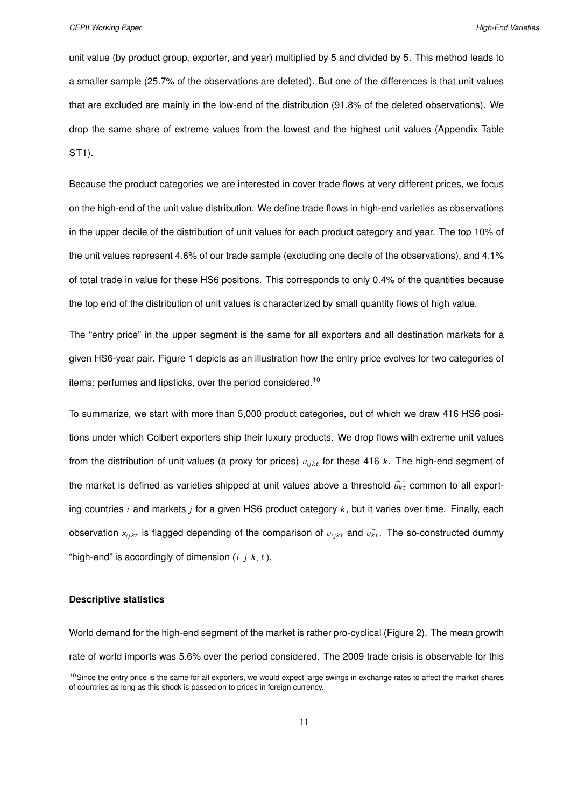unit value (by product group, exporter, and year) multiplied by 5 and divided by 5. This method leads to a smaller sample (25.7% of the observations are deleted). But one of the differences is that unit values that are excluded are mainly in the low-end of the distribution (91.8% of the deleted observations). We drop the same share of extreme values from the lowest and the highest unit values (Appendix Table [ST1\)](#page-26-0).

Because the product categories we are interested in cover trade flows at very different prices, we focus on the high-end of the unit value distribution. We define trade flows in high-end varieties as observations in the upper decile of the distribution of unit values for each product category and year. The top 10% of the unit values represent 4.6% of our trade sample (excluding one decile of the observations), and 4.1% of total trade in value for these HS6 positions. This corresponds to only 0.4% of the quantities because the top end of the distribution of unit values is characterized by small quantity flows of high value.

The "entry price" in the upper segment is the same for all exporters and all destination markets for a given HS6-year pair. Figure [1](#page-22-0) depicts as an illustration how the entry price evolves for two categories of items: perfumes and lipsticks, over the period considered.<sup>[10](#page-2-0)</sup>

To summarize, we start with more than 5,000 product categories, out of which we draw 416 HS6 positions under which Colbert exporters ship their luxury products. We drop flows with extreme unit values from the distribution of unit values (a proxy for prices)  $u_{i/kt}$  for these 416 k. The high-end segment of the market is defined as varieties shipped at unit values above a threshold  $\widetilde{u_{kt}}$  common to all exporting countries i and markets i for a given HS6 product category  $k$ , but it varies over time. Finally, each observation  $x_{i j k t}$  is flagged depending of the comparison of  $u_{i j k t}$  and  $\widetilde{u_{k t}}$ . The so-constructed dummy "high-end" is accordingly of dimension  $(i, j, k, t)$ .

#### **Descriptive statistics**

World demand for the high-end segment of the market is rather pro-cyclical (Figure [2\)](#page-22-1). The mean growth rate of world imports was 5.6% over the period considered. The 2009 trade crisis is observable for this

<sup>&</sup>lt;sup>10</sup>Since the entry price is the same for all exporters, we would expect large swings in exchange rates to affect the market shares of countries as long as this shock is passed on to prices in foreign currency.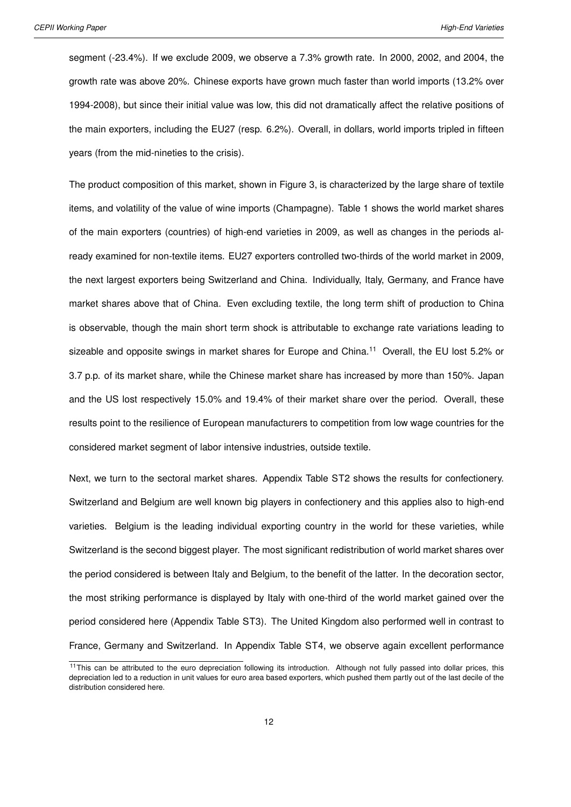segment (-23.4%). If we exclude 2009, we observe a 7.3% growth rate. In 2000, 2002, and 2004, the growth rate was above 20%. Chinese exports have grown much faster than world imports (13.2% over 1994-2008), but since their initial value was low, this did not dramatically affect the relative positions of the main exporters, including the EU27 (resp. 6.2%). Overall, in dollars, world imports tripled in fifteen years (from the mid-nineties to the crisis).

The product composition of this market, shown in Figure [3,](#page-23-0) is characterized by the large share of textile items, and volatility of the value of wine imports (Champagne). Table [1](#page-23-1) shows the world market shares of the main exporters (countries) of high-end varieties in 2009, as well as changes in the periods already examined for non-textile items. EU27 exporters controlled two-thirds of the world market in 2009, the next largest exporters being Switzerland and China. Individually, Italy, Germany, and France have market shares above that of China. Even excluding textile, the long term shift of production to China is observable, though the main short term shock is attributable to exchange rate variations leading to sizeable and opposite swings in market shares for Europe and China.<sup>[11](#page-2-0)</sup> Overall, the EU lost 5.2% or 3.7 p.p. of its market share, while the Chinese market share has increased by more than 150%. Japan and the US lost respectively 15.0% and 19.4% of their market share over the period. Overall, these results point to the resilience of European manufacturers to competition from low wage countries for the considered market segment of labor intensive industries, outside textile.

Next, we turn to the sectoral market shares. Appendix Table [ST2](#page-26-1) shows the results for confectionery. Switzerland and Belgium are well known big players in confectionery and this applies also to high-end varieties. Belgium is the leading individual exporting country in the world for these varieties, while Switzerland is the second biggest player. The most significant redistribution of world market shares over the period considered is between Italy and Belgium, to the benefit of the latter. In the decoration sector, the most striking performance is displayed by Italy with one-third of the world market gained over the period considered here (Appendix Table [ST3\)](#page-27-0). The United Kingdom also performed well in contrast to France, Germany and Switzerland. In Appendix Table [ST4,](#page-27-1) we observe again excellent performance

<sup>&</sup>lt;sup>11</sup>This can be attributed to the euro depreciation following its introduction. Although not fully passed into dollar prices, this depreciation led to a reduction in unit values for euro area based exporters, which pushed them partly out of the last decile of the distribution considered here.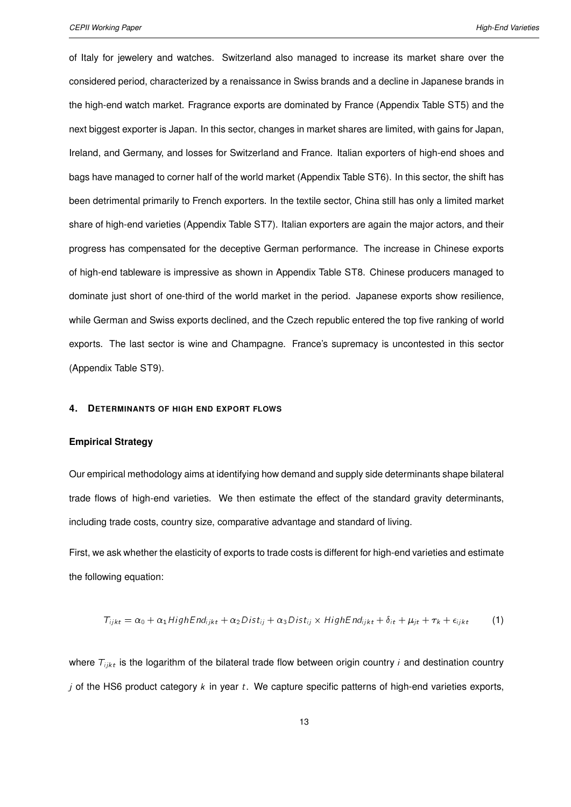of Italy for jewelery and watches. Switzerland also managed to increase its market share over the considered period, characterized by a renaissance in Swiss brands and a decline in Japanese brands in the high-end watch market. Fragrance exports are dominated by France (Appendix Table [ST5\)](#page-27-2) and the next biggest exporter is Japan. In this sector, changes in market shares are limited, with gains for Japan, Ireland, and Germany, and losses for Switzerland and France. Italian exporters of high-end shoes and bags have managed to corner half of the world market (Appendix Table [ST6\)](#page-28-0). In this sector, the shift has been detrimental primarily to French exporters. In the textile sector, China still has only a limited market share of high-end varieties (Appendix Table [ST7\)](#page-28-1). Italian exporters are again the major actors, and their progress has compensated for the deceptive German performance. The increase in Chinese exports of high-end tableware is impressive as shown in Appendix Table [ST8.](#page-28-2) Chinese producers managed to dominate just short of one-third of the world market in the period. Japanese exports show resilience, while German and Swiss exports declined, and the Czech republic entered the top five ranking of world exports. The last sector is wine and Champagne. France's supremacy is uncontested in this sector (Appendix Table [ST9\)](#page-29-0).

#### **4. DETERMINANTS OF HIGH END EXPORT FLOWS**

#### **Empirical Strategy**

Our empirical methodology aims at identifying how demand and supply side determinants shape bilateral trade flows of high-end varieties. We then estimate the effect of the standard gravity determinants, including trade costs, country size, comparative advantage and standard of living.

First, we ask whether the elasticity of exports to trade costs is different for high-end varieties and estimate the following equation:

<span id="page-12-0"></span>
$$
T_{ijkt} = \alpha_0 + \alpha_1 High End_{ijkt} + \alpha_2 Dist_{ij} + \alpha_3 Dist_{ij} \times High End_{ijkt} + \delta_{it} + \mu_{jt} + \tau_k + \epsilon_{ijkt}
$$
 (1)

where  $T_{i,jkt}$  is the logarithm of the bilateral trade flow between origin country *i* and destination country j of the HS6 product category  $k$  in year  $t$ . We capture specific patterns of high-end varieties exports,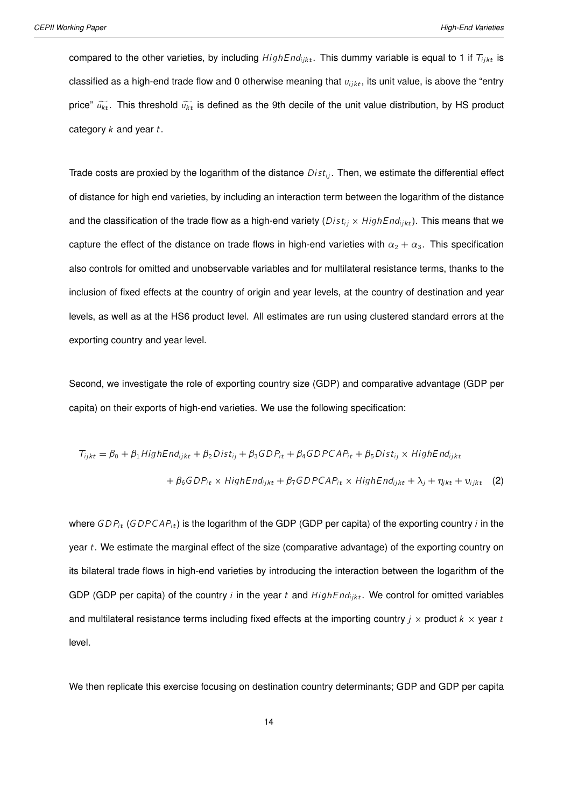compared to the other varieties, by including  $HighEnd_{ijkt}$ . This dummy variable is equal to 1 if  $T_{ijkt}$  is classified as a high-end trade flow and 0 otherwise meaning that  $u_{i/kt}$ , its unit value, is above the "entry price"  $\widetilde{u_{kt}}$ . This threshold  $\widetilde{u_{kt}}$  is defined as the 9th decile of the unit value distribution, by HS product category  $k$  and year  $t$ .

Trade costs are proxied by the logarithm of the distance  $Dist_{ii}$ . Then, we estimate the differential effect of distance for high end varieties, by including an interaction term between the logarithm of the distance and the classification of the trade flow as a high-end variety ( $Dist_{ij} \times HighEnd_{ijkt}$ ). This means that we capture the effect of the distance on trade flows in high-end varieties with  $\alpha_2 + \alpha_3$ . This specification also controls for omitted and unobservable variables and for multilateral resistance terms, thanks to the inclusion of fixed effects at the country of origin and year levels, at the country of destination and year levels, as well as at the HS6 product level. All estimates are run using clustered standard errors at the exporting country and year level.

Second, we investigate the role of exporting country size (GDP) and comparative advantage (GDP per capita) on their exports of high-end varieties. We use the following specification:

<span id="page-13-0"></span>
$$
T_{ijkt} = \beta_0 + \beta_1 High End_{ijkt} + \beta_2 Dist_{ij} + \beta_3 GDP_{it} + \beta_4 GDPCAP_{it} + \beta_5 Dist_{ij} \times High End_{ijkt}
$$

$$
+ \beta_6 GDP_{it} \times High End_{ijkt} + \beta_7 GDPCAP_{it} \times High End_{ijkt} + \lambda_j + \eta_{jkt} + \upsilon_{ijkt} \tag{2}
$$

where  $GDP_i(GDPCAP_i t)$  is the logarithm of the GDP (GDP per capita) of the exporting country i in the year  $t$ . We estimate the marginal effect of the size (comparative advantage) of the exporting country on its bilateral trade flows in high-end varieties by introducing the interaction between the logarithm of the GDP (GDP per capita) of the country i in the year t and  $HighEnd_{ijkt}$ . We control for omitted variables and multilateral resistance terms including fixed effects at the importing country  $j \times$  product  $k \times$  year to level.

We then replicate this exercise focusing on destination country determinants; GDP and GDP per capita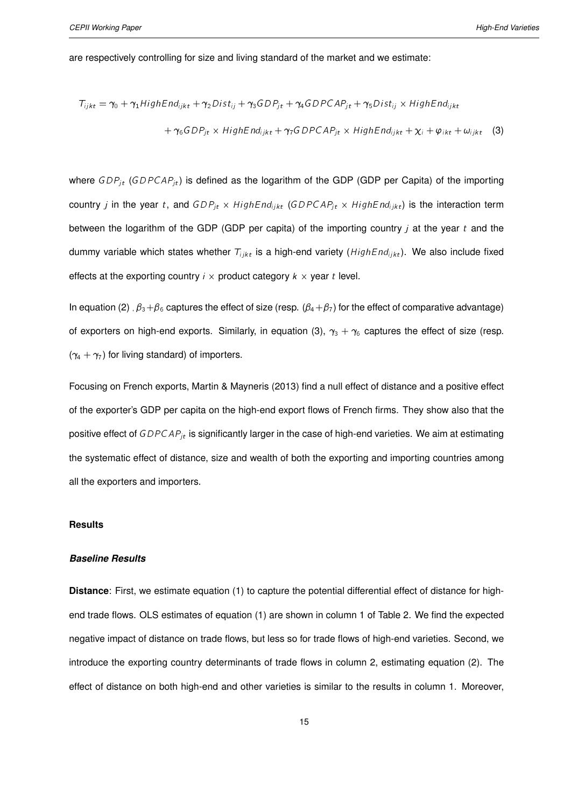are respectively controlling for size and living standard of the market and we estimate:

<span id="page-14-0"></span>
$$
T_{ijkt} = \gamma_0 + \gamma_1 High End_{ijkt} + \gamma_2 Dist_{ij} + \gamma_3 GDP_{jt} + \gamma_4 GDPCAP_{jt} + \gamma_5 Dist_{ij} \times High End_{ijkt}
$$

$$
+ \gamma_6 GDP_{jt} \times High End_{ijkt} + \gamma_7 GDPCAP_{jt} \times High End_{ijkt} + \chi_i + \varphi_{ikt} + \omega_{ijkt} \tag{3}
$$

where  $GDP_{jt}$  (GDPCAP<sub>jt</sub>) is defined as the logarithm of the GDP (GDP per Capita) of the importing country *j* in the year t, and  $GDP_{jt} \times HighEnd_{ijkt}$  (GDPCAP<sub>jt</sub>  $\times HighEnd_{ijkt}$ ) is the interaction term between the logarithm of the GDP (GDP per capita) of the importing country  $\mu$  at the year  $t$  and the dummy variable which states whether  $T_{iikt}$  is a high-end variety ( $HighEnd_{iikt}$ ). We also include fixed effects at the exporting country  $i \times$  product category  $k \times$  year t level.

In equation [\(2\)](#page-13-0),  $\beta_3 + \beta_6$  captures the effect of size (resp.  $(\beta_4 + \beta_7)$  for the effect of comparative advantage) of exporters on high-end exports. Similarly, in equation [\(3\)](#page-14-0),  $\gamma_3 + \gamma_6$  captures the effect of size (resp.  $(\gamma_4 + \gamma_7)$  for living standard) of importers.

Focusing on French exports, [Martin & Mayneris](#page-20-2) [\(2013\)](#page-20-2) find a null effect of distance and a positive effect of the exporter's GDP per capita on the high-end export flows of French firms. They show also that the positive effect of  $GDPCAP_{jt}$  is significantly larger in the case of high-end varieties. We aim at estimating the systematic effect of distance, size and wealth of both the exporting and importing countries among all the exporters and importers.

#### **Results**

#### *Baseline Results*

**Distance**: First, we estimate equation [\(1\)](#page-12-0) to capture the potential differential effect of distance for highend trade flows. OLS estimates of equation [\(1\)](#page-12-0) are shown in column 1 of Table [2.](#page-25-0) We find the expected negative impact of distance on trade flows, but less so for trade flows of high-end varieties. Second, we introduce the exporting country determinants of trade flows in column 2, estimating equation [\(2\)](#page-13-0). The effect of distance on both high-end and other varieties is similar to the results in column 1. Moreover,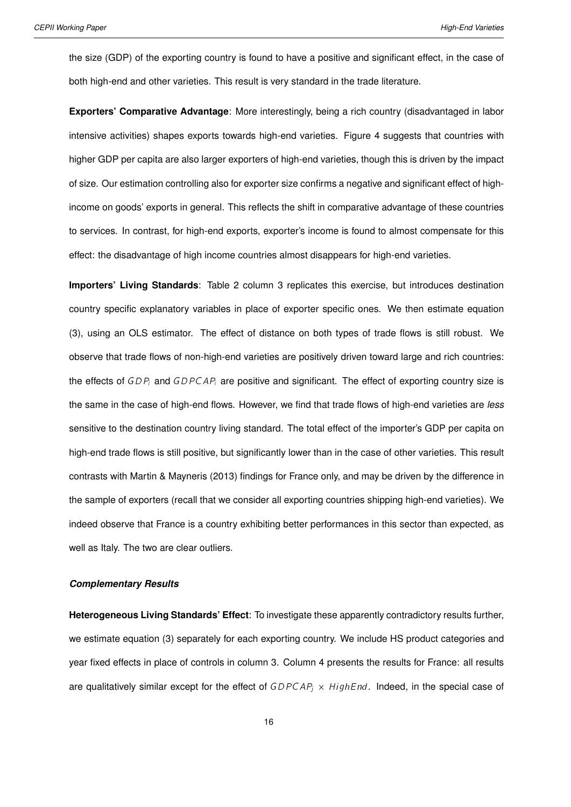the size (GDP) of the exporting country is found to have a positive and significant effect, in the case of both high-end and other varieties. This result is very standard in the trade literature.

**Exporters' Comparative Advantage**: More interestingly, being a rich country (disadvantaged in labor intensive activities) shapes exports towards high-end varieties. Figure [4](#page-24-0) suggests that countries with higher GDP per capita are also larger exporters of high-end varieties, though this is driven by the impact of size. Our estimation controlling also for exporter size confirms a negative and significant effect of highincome on goods' exports in general. This reflects the shift in comparative advantage of these countries to services. In contrast, for high-end exports, exporter's income is found to almost compensate for this effect: the disadvantage of high income countries almost disappears for high-end varieties.

**Importers' Living Standards**: Table [2](#page-25-0) column 3 replicates this exercise, but introduces destination country specific explanatory variables in place of exporter specific ones. We then estimate equation [\(3\)](#page-14-0), using an OLS estimator. The effect of distance on both types of trade flows is still robust. We observe that trade flows of non-high-end varieties are positively driven toward large and rich countries: the effects of  $GDP_i$  and  $GDPCAP_i$  are positive and significant. The effect of exporting country size is the same in the case of high-end flows. However, we find that trade flows of high-end varieties are *less* sensitive to the destination country living standard. The total effect of the importer's GDP per capita on high-end trade flows is still positive, but significantly lower than in the case of other varieties. This result contrasts with [Martin & Mayneris](#page-20-2) [\(2013\)](#page-20-2) findings for France only, and may be driven by the difference in the sample of exporters (recall that we consider all exporting countries shipping high-end varieties). We indeed observe that France is a country exhibiting better performances in this sector than expected, as well as Italy. The two are clear outliers.

#### *Complementary Results*

**Heterogeneous Living Standards' Effect**: To investigate these apparently contradictory results further, we estimate equation [\(3\)](#page-14-0) separately for each exporting country. We include HS product categories and year fixed effects in place of controls in column 3. Column 4 presents the results for France: all results are qualitatively similar except for the effect of  $GDPCAP_j \times HighEnd$ . Indeed, in the special case of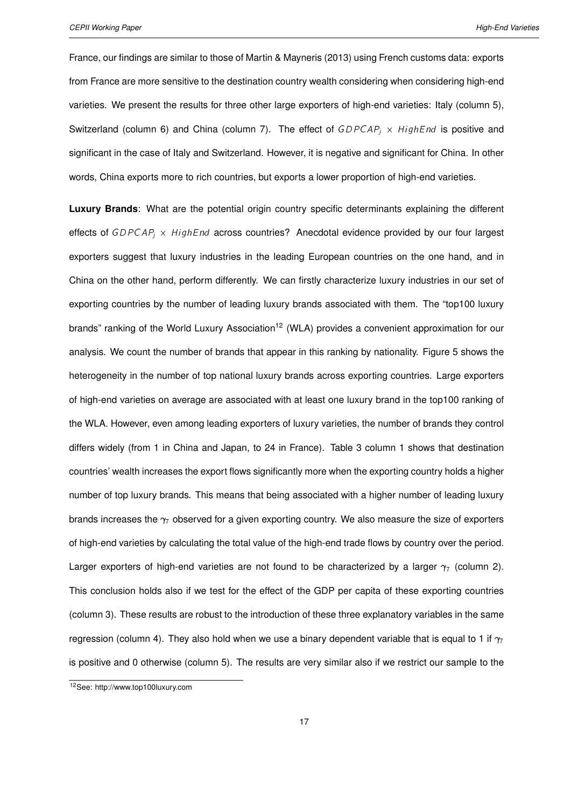France, our findings are similar to those of [Martin & Mayneris](#page-20-2) [\(2013\)](#page-20-2) using French customs data: exports from France are more sensitive to the destination country wealth considering when considering high-end varieties. We present the results for three other large exporters of high-end varieties: Italy (column 5), Switzerland (column 6) and China (column 7). The effect of  $GDPCAP_j \times HighEnd$  is positive and significant in the case of Italy and Switzerland. However, it is negative and significant for China. In other words, China exports more to rich countries, but exports a lower proportion of high-end varieties.

**Luxury Brands**: What are the potential origin country specific determinants explaining the different effects of  $GDPCAP_j \times HighEnd$  across countries? Anecdotal evidence provided by our four largest exporters suggest that luxury industries in the leading European countries on the one hand, and in China on the other hand, perform differently. We can firstly characterize luxury industries in our set of exporting countries by the number of leading luxury brands associated with them. The "top100 luxury brands" ranking of the World Luxury Association<sup>[12](#page-2-0)</sup> (WLA) provides a convenient approximation for our analysis. We count the number of brands that appear in this ranking by nationality. Figure [5](#page-24-1) shows the heterogeneity in the number of top national luxury brands across exporting countries. Large exporters of high-end varieties on average are associated with at least one luxury brand in the top100 ranking of the WLA. However, even among leading exporters of luxury varieties, the number of brands they control differs widely (from 1 in China and Japan, to 24 in France). Table [3](#page-25-1) column 1 shows that destination countries' wealth increases the export flows significantly more when the exporting country holds a higher number of top luxury brands. This means that being associated with a higher number of leading luxury brands increases the  $\gamma$  observed for a given exporting country. We also measure the size of exporters of high-end varieties by calculating the total value of the high-end trade flows by country over the period. Larger exporters of high-end varieties are not found to be characterized by a larger  $\gamma$  (column 2). This conclusion holds also if we test for the effect of the GDP per capita of these exporting countries (column 3). These results are robust to the introduction of these three explanatory variables in the same regression (column 4). They also hold when we use a binary dependent variable that is equal to 1 if  $\gamma_7$ is positive and 0 otherwise (column 5). The results are very similar also if we restrict our sample to the

<sup>12</sup>See: http://www.top100luxury.com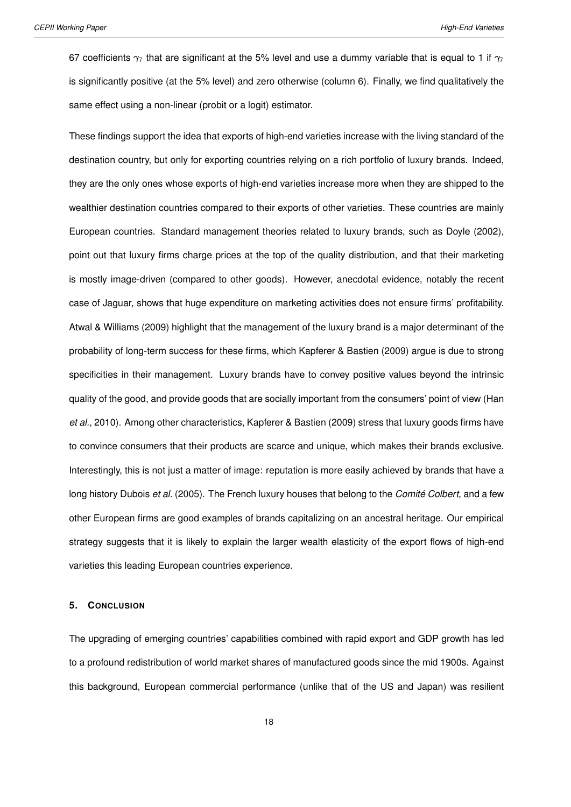67 coefficients  $\gamma_7$  that are significant at the 5% level and use a dummy variable that is equal to 1 if  $\gamma_7$ is significantly positive (at the 5% level) and zero otherwise (column 6). Finally, we find qualitatively the same effect using a non-linear (probit or a logit) estimator.

These findings support the idea that exports of high-end varieties increase with the living standard of the destination country, but only for exporting countries relying on a rich portfolio of luxury brands. Indeed, they are the only ones whose exports of high-end varieties increase more when they are shipped to the wealthier destination countries compared to their exports of other varieties. These countries are mainly European countries. Standard management theories related to luxury brands, such as [Doyle](#page-19-9) [\(2002\)](#page-19-9), point out that luxury firms charge prices at the top of the quality distribution, and that their marketing is mostly image-driven (compared to other goods). However, anecdotal evidence, notably the recent case of Jaguar, shows that huge expenditure on marketing activities does not ensure firms' profitability. [Atwal & Williams](#page-19-10) [\(2009\)](#page-19-10) highlight that the management of the luxury brand is a major determinant of the probability of long-term success for these firms, which [Kapferer & Bastien](#page-20-12) [\(2009\)](#page-20-12) argue is due to strong specificities in their management. Luxury brands have to convey positive values beyond the intrinsic quality of the good, and provide goods that are socially important from the consumers' point of view [\(Han](#page-20-13) *[et al.](#page-20-13)*, [2010\)](#page-20-13). Among other characteristics, [Kapferer & Bastien](#page-20-12) [\(2009\)](#page-20-12) stress that luxury goods firms have to convince consumers that their products are scarce and unique, which makes their brands exclusive. Interestingly, this is not just a matter of image: reputation is more easily achieved by brands that have a long history [Dubois](#page-19-11) *et al.* [\(2005\)](#page-19-11). The French luxury houses that belong to the *Comité Colbert*, and a few other European firms are good examples of brands capitalizing on an ancestral heritage. Our empirical strategy suggests that it is likely to explain the larger wealth elasticity of the export flows of high-end varieties this leading European countries experience.

#### **5. CONCLUSION**

The upgrading of emerging countries' capabilities combined with rapid export and GDP growth has led to a profound redistribution of world market shares of manufactured goods since the mid 1900s. Against this background, European commercial performance (unlike that of the US and Japan) was resilient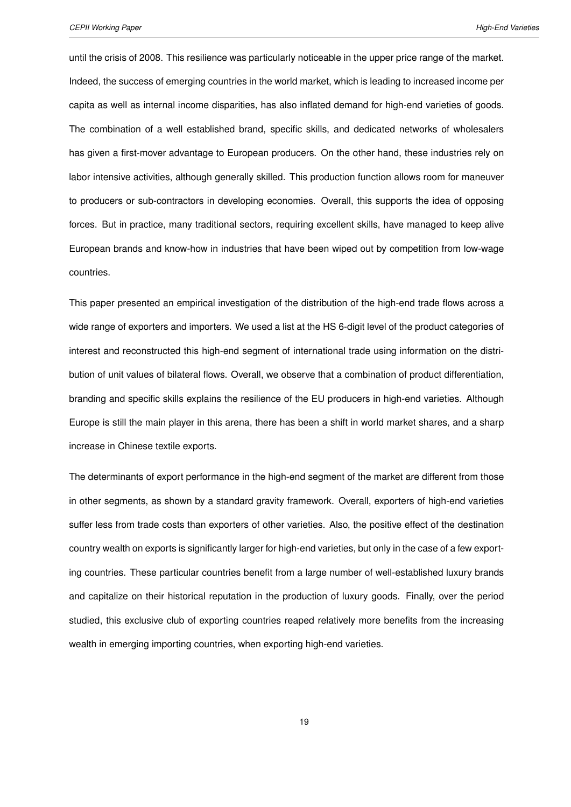until the crisis of 2008. This resilience was particularly noticeable in the upper price range of the market. Indeed, the success of emerging countries in the world market, which is leading to increased income per capita as well as internal income disparities, has also inflated demand for high-end varieties of goods. The combination of a well established brand, specific skills, and dedicated networks of wholesalers has given a first-mover advantage to European producers. On the other hand, these industries rely on labor intensive activities, although generally skilled. This production function allows room for maneuver to producers or sub-contractors in developing economies. Overall, this supports the idea of opposing forces. But in practice, many traditional sectors, requiring excellent skills, have managed to keep alive European brands and know-how in industries that have been wiped out by competition from low-wage countries.

This paper presented an empirical investigation of the distribution of the high-end trade flows across a wide range of exporters and importers. We used a list at the HS 6-digit level of the product categories of interest and reconstructed this high-end segment of international trade using information on the distribution of unit values of bilateral flows. Overall, we observe that a combination of product differentiation, branding and specific skills explains the resilience of the EU producers in high-end varieties. Although Europe is still the main player in this arena, there has been a shift in world market shares, and a sharp increase in Chinese textile exports.

The determinants of export performance in the high-end segment of the market are different from those in other segments, as shown by a standard gravity framework. Overall, exporters of high-end varieties suffer less from trade costs than exporters of other varieties. Also, the positive effect of the destination country wealth on exports is significantly larger for high-end varieties, but only in the case of a few exporting countries. These particular countries benefit from a large number of well-established luxury brands and capitalize on their historical reputation in the production of luxury goods. Finally, over the period studied, this exclusive club of exporting countries reaped relatively more benefits from the increasing wealth in emerging importing countries, when exporting high-end varieties.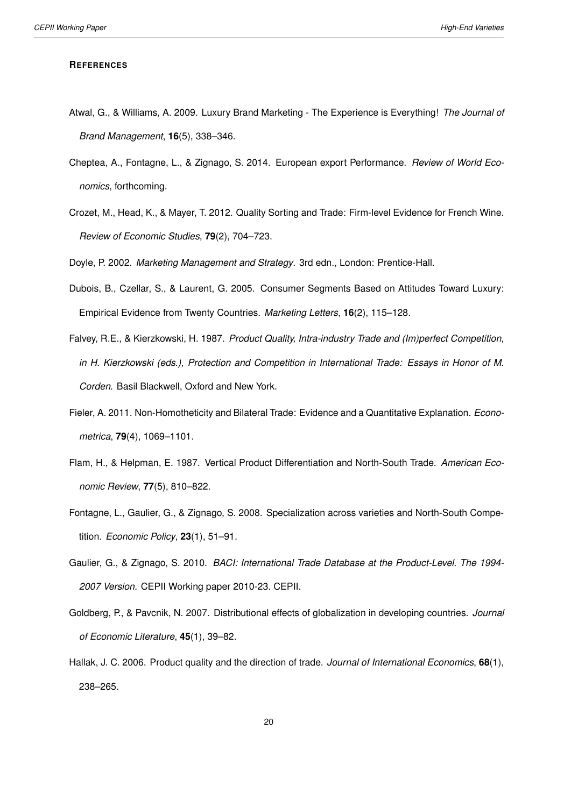#### **REFERENCES**

- <span id="page-19-10"></span>Atwal, G., & Williams, A. 2009. Luxury Brand Marketing - The Experience is Everything! *The Journal of Brand Management*, **16**(5), 338–346.
- <span id="page-19-0"></span>Cheptea, A., Fontagne, L., & Zignago, S. 2014. European export Performance. *Review of World Economics*, forthcoming.
- <span id="page-19-7"></span>Crozet, M., Head, K., & Mayer, T. 2012. Quality Sorting and Trade: Firm-level Evidence for French Wine. *Review of Economic Studies*, **79**(2), 704–723.

<span id="page-19-11"></span><span id="page-19-9"></span>Doyle, P. 2002. *Marketing Management and Strategy*. 3rd edn., London: Prentice-Hall.

- Dubois, B., Czellar, S., & Laurent, G. 2005. Consumer Segments Based on Attitudes Toward Luxury: Empirical Evidence from Twenty Countries. *Marketing Letters*, **16**(2), 115–128.
- <span id="page-19-4"></span>Falvey, R.E., & Kierzkowski, H. 1987. *Product Quality, Intra-industry Trade and (Im)perfect Competition, in H. Kierzkowski (eds.), Protection and Competition in International Trade: Essays in Honor of M. Corden*. Basil Blackwell, Oxford and New York.
- <span id="page-19-6"></span>Fieler, A. 2011. Non-Homotheticity and Bilateral Trade: Evidence and a Quantitative Explanation. *Econometrica*, **79**(4), 1069–1101.
- <span id="page-19-5"></span>Flam, H., & Helpman, E. 1987. Vertical Product Differentiation and North-South Trade. *American Economic Review*, **77**(5), 810–822.
- <span id="page-19-2"></span>Fontagne, L., Gaulier, G., & Zignago, S. 2008. Specialization across varieties and North-South Competition. *Economic Policy*, **23**(1), 51–91.
- <span id="page-19-8"></span>Gaulier, G., & Zignago, S. 2010. *BACI: International Trade Database at the Product-Level. The 1994- 2007 Version.* CEPII Working paper 2010-23. CEPII.
- <span id="page-19-3"></span>Goldberg, P., & Pavcnik, N. 2007. Distributional effects of globalization in developing countries. *Journal of Economic Literature*, **45**(1), 39–82.
- <span id="page-19-1"></span>Hallak, J. C. 2006. Product quality and the direction of trade. *Journal of International Economics*, **68**(1), 238–265.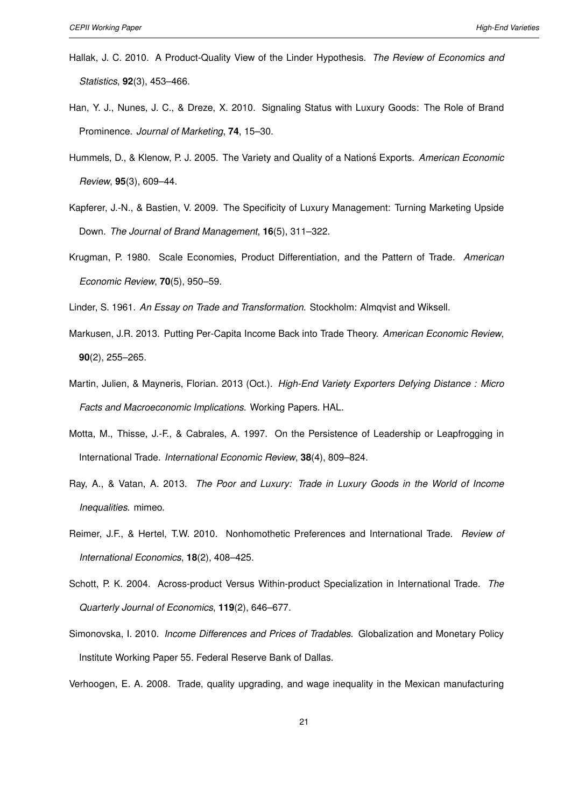- <span id="page-20-7"></span>Hallak, J. C. 2010. A Product-Quality View of the Linder Hypothesis. *The Review of Economics and Statistics*, **92**(3), 453–466.
- <span id="page-20-13"></span>Han, Y. J., Nunes, J. C., & Dreze, X. 2010. Signaling Status with Luxury Goods: The Role of Brand Prominence. *Journal of Marketing*, **74**, 15–30.
- <span id="page-20-5"></span>Hummels, D., & Klenow, P. J. 2005. The Variety and Quality of a Nations Exports. American Economic *Review*, **95**(3), 609–44.
- <span id="page-20-12"></span>Kapferer, J.-N., & Bastien, V. 2009. The Specificity of Luxury Management: Turning Marketing Upside Down. *The Journal of Brand Management*, **16**(5), 311–322.
- <span id="page-20-4"></span>Krugman, P. 1980. Scale Economies, Product Differentiation, and the Pattern of Trade. *American Economic Review*, **70**(5), 950–59.

<span id="page-20-9"></span><span id="page-20-8"></span>Linder, S. 1961. *An Essay on Trade and Transformation*. Stockholm: Almqvist and Wiksell.

- Markusen, J.R. 2013. Putting Per-Capita Income Back into Trade Theory. *American Economic Review*, **90**(2), 255–265.
- <span id="page-20-2"></span>Martin, Julien, & Mayneris, Florian. 2013 (Oct.). *High-End Variety Exporters Defying Distance : Micro Facts and Macroeconomic Implications*. Working Papers. HAL.
- <span id="page-20-6"></span>Motta, M., Thisse, J.-F., & Cabrales, A. 1997. On the Persistence of Leadership or Leapfrogging in International Trade. *International Economic Review*, **38**(4), 809–824.
- <span id="page-20-3"></span>Ray, A., & Vatan, A. 2013. *The Poor and Luxury: Trade in Luxury Goods in the World of Income Inequalities*. mimeo.
- <span id="page-20-11"></span>Reimer, J.F., & Hertel, T.W. 2010. Nonhomothetic Preferences and International Trade. *Review of International Economics*, **18**(2), 408–425.
- <span id="page-20-0"></span>Schott, P. K. 2004. Across-product Versus Within-product Specialization in International Trade. *The Quarterly Journal of Economics*, **119**(2), 646–677.
- <span id="page-20-10"></span>Simonovska, I. 2010. *Income Differences and Prices of Tradables*. Globalization and Monetary Policy Institute Working Paper 55. Federal Reserve Bank of Dallas.

<span id="page-20-1"></span>Verhoogen, E. A. 2008. Trade, quality upgrading, and wage inequality in the Mexican manufacturing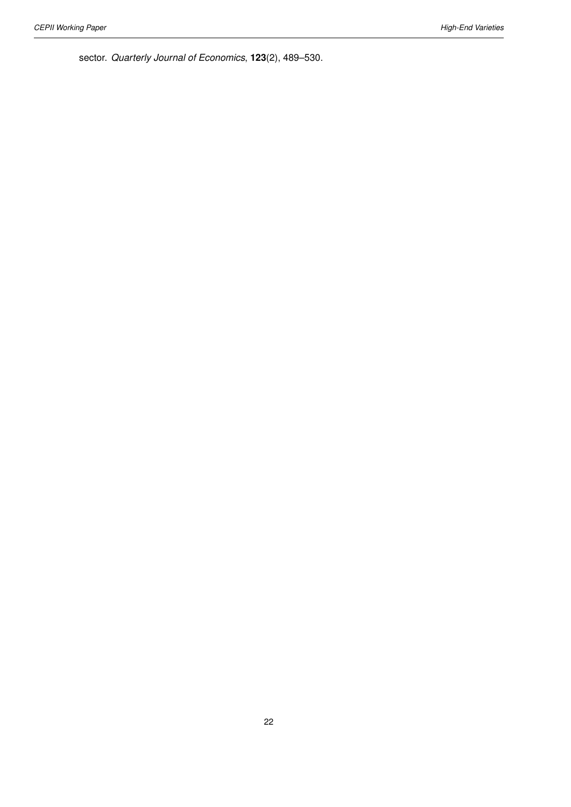sector. *Quarterly Journal of Economics*, **123**(2), 489–530.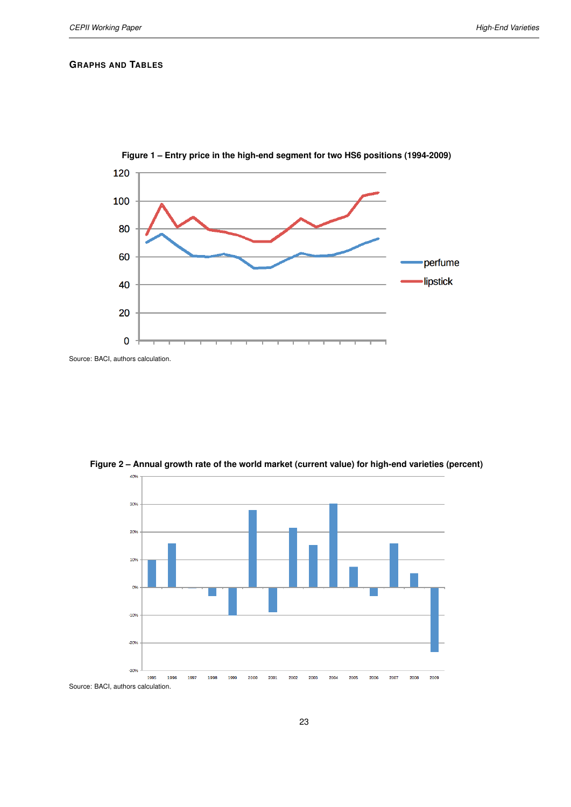#### **GRAPHS AND TABLES**

<span id="page-22-0"></span>



<span id="page-22-1"></span>

**Figure 2 – Annual growth rate of the world market (current value) for high-end varieties (percent)**

Source: BACI, authors calculation.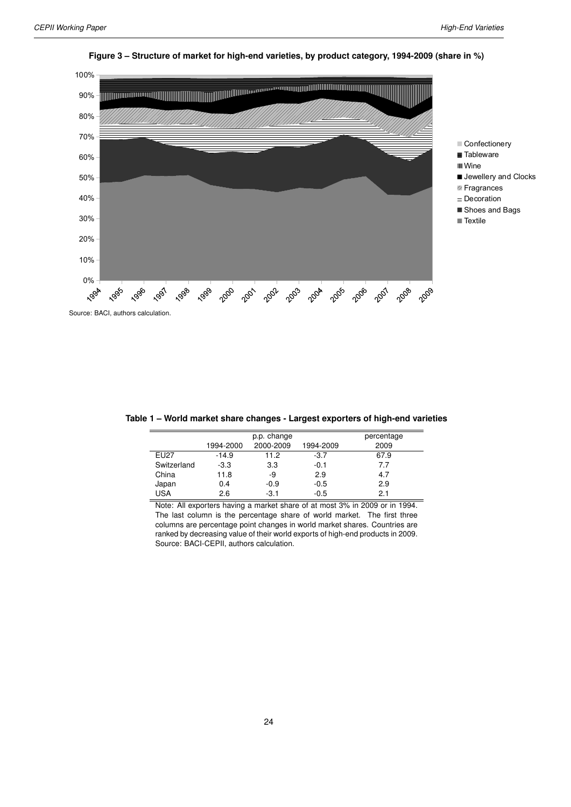

#### <span id="page-23-0"></span>**Figure 3 – Structure of market for high-end varieties, by product category, 1994-2009 (share in %)**

Source: BACI, authors calculation.

<span id="page-23-1"></span>

| Table 1 – World market share changes - Largest exporters of high-end varieties |
|--------------------------------------------------------------------------------|
|--------------------------------------------------------------------------------|

|             |           | p.p. change |           | percentage |
|-------------|-----------|-------------|-----------|------------|
|             | 1994-2000 | 2000-2009   | 1994-2009 | 2009       |
| EU27        | $-14.9$   | 11.2        | $-3.7$    | 67.9       |
| Switzerland | $-3.3$    | 3.3         | $-0.1$    | 7.7        |
| China       | 11.8      | -9          | 2.9       | 4.7        |
| Japan       | 0.4       | $-0.9$      | $-0.5$    | 2.9        |
| <b>USA</b>  | 2.6       | $-3.1$      | $-0.5$    | 2.1        |
|             |           |             |           |            |

Note: All exporters having a market share of at most 3% in 2009 or in 1994. The last column is the percentage share of world market. The first three columns are percentage point changes in world market shares. Countries are ranked by decreasing value of their world exports of high-end products in 2009. Source: BACI-CEPII, authors calculation.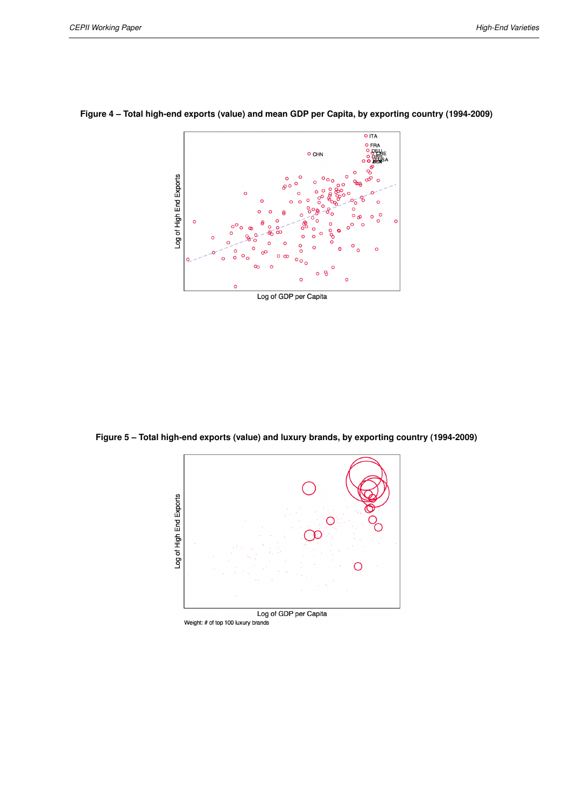

<span id="page-24-0"></span>**Figure 4 – Total high-end exports (value) and mean GDP per Capita, by exporting country (1994-2009)**

<span id="page-24-1"></span>**Figure 5 – Total high-end exports (value) and luxury brands, by exporting country (1994-2009)**



Weight: # of top 100 luxury brands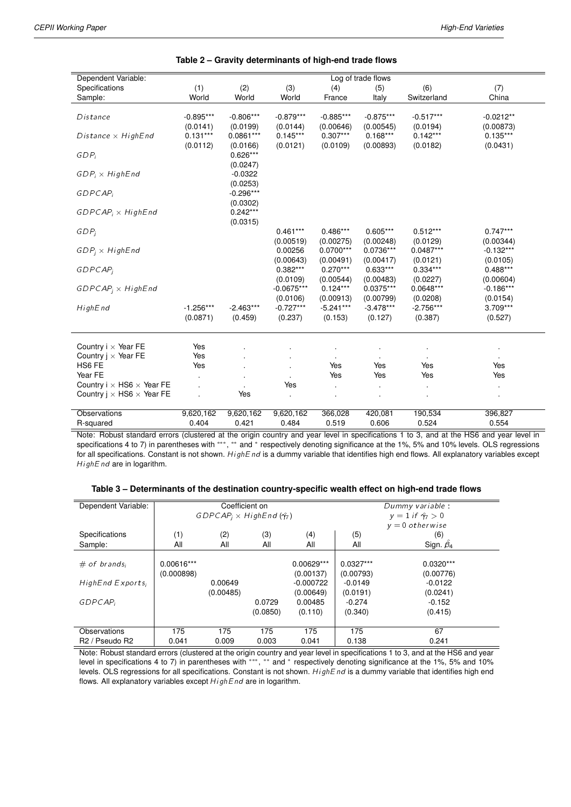<span id="page-25-0"></span>

| Dependent Variable:                     |             |             |                         |                         | Log of trade flows      |                        |                        |
|-----------------------------------------|-------------|-------------|-------------------------|-------------------------|-------------------------|------------------------|------------------------|
| Specifications                          | (1)         | (2)         | (3)                     | (4)                     | (5)                     | (6)                    | (7)                    |
| Sample:                                 | World       | World       | World                   | France                  | Italy                   | Switzerland            | China                  |
|                                         |             |             |                         |                         |                         |                        |                        |
| Distance                                | $-0.895***$ | $-0.806***$ | $-0.879***$             | $-0.885***$             | $-0.875***$             | $-0.517***$            | $-0.0212**$            |
|                                         | (0.0141)    | (0.0199)    | (0.0144)                | (0.00646)               | (0.00545)               | (0.0194)               | (0.00873)              |
| Distance $\times$ HighEnd               | $0.131***$  | $0.0861***$ | $0.145***$              | $0.307***$              | $0.168***$              | $0.142***$             | $0.135***$             |
|                                         | (0.0112)    | (0.0166)    | (0.0121)                | (0.0109)                | (0.00893)               | (0.0182)               | (0.0431)               |
| $GDP_i$                                 |             | $0.626***$  |                         |                         |                         |                        |                        |
|                                         |             | (0.0247)    |                         |                         |                         |                        |                        |
| $GDP_i \times HighEnd$                  |             | $-0.0322$   |                         |                         |                         |                        |                        |
|                                         |             | (0.0253)    |                         |                         |                         |                        |                        |
| <b>GDPCAP</b>                           |             | $-0.296***$ |                         |                         |                         |                        |                        |
|                                         |             | (0.0302)    |                         |                         |                         |                        |                        |
| $GDPCAP_i \times HighEnd$               |             | $0.242***$  |                         |                         |                         |                        |                        |
|                                         |             | (0.0315)    |                         |                         |                         |                        |                        |
| $GDP_i$                                 |             |             | $0.461***$              | $0.486***$              | $0.605***$              | $0.512***$             | $0.747***$             |
|                                         |             |             | (0.00519)               | (0.00275)               | (0.00248)               | (0.0129)               | (0.00344)              |
| $GDP_i \times HighEnd$                  |             |             | 0.00256                 | $0.0700***$             | $0.0736***$             | $0.0487***$            | $-0.132***$            |
| <b>GDPCAP</b>                           |             |             | (0.00643)<br>$0.382***$ | (0.00491)<br>$0.270***$ | (0.00417)<br>$0.633***$ | (0.0121)<br>$0.334***$ | (0.0105)<br>$0.488***$ |
|                                         |             |             | (0.0109)                | (0.00544)               | (0.00483)               | (0.0227)               | (0.00604)              |
| $GDPCAP_i \times HighEnd$               |             |             | $-0.0675***$            | $0.124***$              | $0.0375***$             | $0.0648***$            | $-0.186***$            |
|                                         |             |             | (0.0106)                | (0.00913)               | (0.00799)               | (0.0208)               | (0.0154)               |
| HighEnd                                 | $-1.256***$ | $-2.463***$ | $-0.727***$             | $-5.241***$             | $-3.478***$             | $-2.756***$            | 3.709***               |
|                                         | (0.0871)    | (0.459)     | (0.237)                 | (0.153)                 | (0.127)                 | (0.387)                | (0.527)                |
|                                         |             |             |                         |                         |                         |                        |                        |
|                                         |             |             |                         |                         |                         |                        |                        |
| Country $i \times$ Year FE              | Yes         |             |                         |                         |                         |                        |                        |
| Country $i \times$ Year FE              | Yes         |             |                         |                         |                         |                        |                        |
| HS6 FE                                  | Yes         |             |                         | Yes                     | Yes                     | Yes                    | Yes                    |
| Year FE                                 |             |             |                         | Yes                     | Yes                     | Yes                    | Yes                    |
| Country $i \times$ HS6 $\times$ Year FE |             |             | Yes                     | $\blacksquare$          |                         |                        |                        |
| Country $i \times$ HS6 $\times$ Year FE |             | Yes         | $\ddot{\phantom{a}}$    |                         |                         |                        |                        |
| Observations                            | 9,620,162   | 9,620,162   | 9,620,162               | 366,028                 | 420,081                 | 190,534                | 396,827                |
| R-squared                               | 0.404       | 0.421       | 0.484                   | 0.519                   | 0.606                   | 0.524                  | 0.554                  |
|                                         |             |             |                         |                         |                         |                        |                        |

#### **Table 2 – Gravity determinants of high-end trade flows**

Note: Robust standard errors (clustered at the origin country and year level in specifications 1 to 3, and at the HS6 and year level in specifications 4 to 7) in parentheses with \*\*\*, \*\* and \* respectively denoting significance at the 1%, 5% and 10% levels. OLS regressions for all specifications. Constant is not shown. HighEnd is a dummy variable that identifies high end flows. All explanatory variables except HighEnd are in logarithm.

| Table 3 – Determinants of the destination country-specific wealth effect on high-end trade flows |  |  |  |
|--------------------------------------------------------------------------------------------------|--|--|--|
|                                                                                                  |  |  |  |

<span id="page-25-1"></span>

| Dependent Variable:                    | Coefficient on |                                           |          |              | Dummy variable |                            |  |
|----------------------------------------|----------------|-------------------------------------------|----------|--------------|----------------|----------------------------|--|
|                                        |                | $GDPCAP_i \times HighEnd(\hat{\gamma_7})$ |          |              |                | $y = 1$ if $\hat{y_7} > 0$ |  |
|                                        |                |                                           |          |              |                | $v = 0$ otherwise          |  |
| Specifications                         | (1)            | (2)                                       | (3)      | (4)          | (5)            | (6)                        |  |
| Sample:                                | All            | All                                       | All      | All          | All            | Sign. $\beta_4$            |  |
|                                        |                |                                           |          |              |                |                            |  |
| $#$ of brands;                         | 0.00616***     |                                           |          | $0.00629***$ | $0.0327***$    | $0.0320***$                |  |
|                                        | (0.000898)     |                                           |          | (0.00137)    | (0.00793)      | (0.00776)                  |  |
| HighEnd Exports;                       |                | 0.00649                                   |          | $-0.000722$  | $-0.0149$      | $-0.0122$                  |  |
|                                        |                | (0.00485)                                 |          | (0.00649)    | (0.0191)       | (0.0241)                   |  |
| GDPCAP                                 |                |                                           | 0.0729   | 0.00485      | $-0.274$       | $-0.152$                   |  |
|                                        |                |                                           | (0.0850) | (0.110)      | (0.340)        | (0.415)                    |  |
|                                        |                |                                           |          |              |                |                            |  |
| Observations                           | 175            | 175                                       | 175      | 175          | 175            | 67                         |  |
| R <sub>2</sub> / Pseudo R <sub>2</sub> | 0.041          | 0.009                                     | 0.003    | 0.041        | 0.138          | 0.241                      |  |

Note: Robust standard errors (clustered at the origin country and year level in specifications 1 to 3, and at the HS6 and year level in specifications 4 to 7) in parentheses with \*\*\*, \*\* and \* respectively denoting significance at the 1%, 5% and 10% levels. OLS regressions for all specifications. Constant is not shown. HighEnd is a dummy variable that identifies high end flows. All explanatory variables except  $HighEnd$  are in logarithm.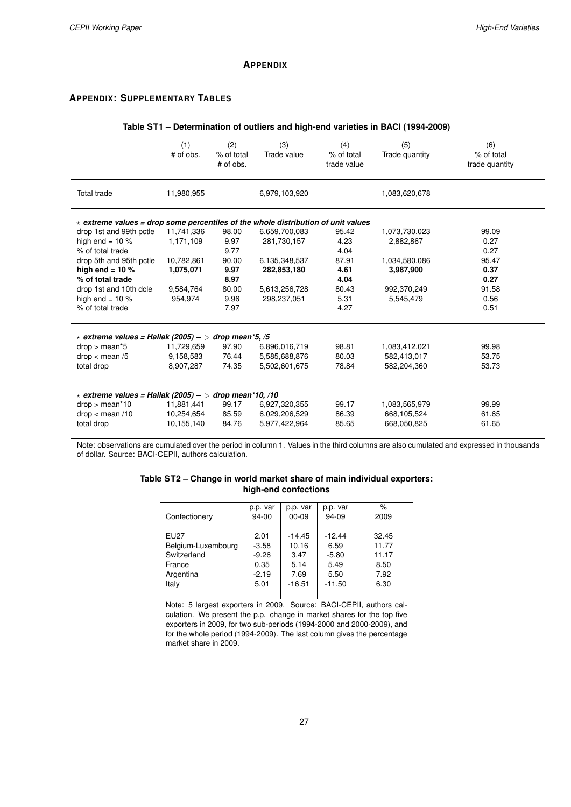#### **APPENDIX**

#### <span id="page-26-0"></span>**APPENDIX: SUPPLEMENTARY TABLES**

#### **Table ST1 – Determination of outliers and high-end varieties in BACI (1994-2009)**

|                                                                                         | $\overline{(1)}$<br>$#$ of obs. | $\overline{(2)}$<br>% of total<br># of obs. | $\overline{(3)}$<br>Trade value | $\overline{(4)}$<br>% of total<br>trade value | $\overline{(5)}$<br>Trade quantity | $\overline{(6)}$<br>% of total<br>trade quantity |
|-----------------------------------------------------------------------------------------|---------------------------------|---------------------------------------------|---------------------------------|-----------------------------------------------|------------------------------------|--------------------------------------------------|
| Total trade                                                                             | 11,980,955                      |                                             | 6,979,103,920                   |                                               | 1,083,620,678                      |                                                  |
| $\star$ extreme values = drop some percentiles of the whole distribution of unit values |                                 |                                             |                                 |                                               |                                    |                                                  |
| drop 1st and 99th pctle                                                                 | 11,741,336                      | 98.00                                       | 6,659,700,083                   | 95.42                                         | 1,073,730,023                      | 99.09                                            |
| high end = $10\%$                                                                       | 1,171,109                       | 9.97                                        | 281,730,157                     | 4.23                                          | 2,882,867                          | 0.27                                             |
| % of total trade                                                                        |                                 | 9.77                                        |                                 | 4.04                                          |                                    | 0.27                                             |
| drop 5th and 95th pctle                                                                 | 10,782,861                      | 90.00                                       | 6,135,348,537                   | 87.91                                         | 1,034,580,086                      | 95.47                                            |
| high end = $10\%$                                                                       | 1,075,071                       | 9.97                                        | 282,853,180                     | 4.61                                          | 3,987,900                          | 0.37                                             |
| % of total trade                                                                        |                                 | 8.97                                        |                                 | 4.04                                          |                                    | 0.27                                             |
| drop 1st and 10th dcle                                                                  | 9,584,764                       | 80.00                                       | 5,613,256,728                   | 80.43                                         | 992,370,249                        | 91.58                                            |
| high end = $10\%$                                                                       | 954,974                         | 9.96                                        | 298,237,051                     | 5.31                                          | 5,545,479                          | 0.56                                             |
| % of total trade                                                                        |                                 | 7.97                                        |                                 | 4.27                                          |                                    | 0.51                                             |
| $\star$ extreme values = Hallak (2005) - > drop mean*5, /5                              |                                 |                                             |                                 |                                               |                                    |                                                  |
| $drop > mean*5$                                                                         | 11,729,659                      | 97.90                                       | 6,896,016,719                   | 98.81                                         | 1,083,412,021                      | 99.98                                            |
| drop < mean/5                                                                           | 9,158,583                       | 76.44                                       | 5,585,688,876                   | 80.03                                         | 582,413,017                        | 53.75                                            |
| total drop                                                                              | 8,907,287                       | 74.35                                       | 5,502,601,675                   | 78.84                                         | 582,204,360                        | 53.73                                            |
| $\star$ extreme values = Hallak (2005) - > drop mean*10, /10                            |                                 |                                             |                                 |                                               |                                    |                                                  |
| $drop > mean*10$                                                                        | 11,881,441                      | 99.17                                       | 6,927,320,355                   | 99.17                                         | 1,083,565,979                      | 99.99                                            |
| drop < mean/10                                                                          | 10,254,654                      | 85.59                                       | 6,029,206,529                   | 86.39                                         | 668,105,524                        | 61.65                                            |
| total drop                                                                              | 10,155,140                      | 84.76                                       | 5,977,422,964                   | 85.65                                         | 668,050,825                        | 61.65                                            |

<span id="page-26-1"></span>Note: observations are cumulated over the period in column 1. Values in the third columns are also cumulated and expressed in thousands of dollar. Source: BACI-CEPII, authors calculation.

| Table ST2 – Change in world market share of main individual exporters: |  |
|------------------------------------------------------------------------|--|
| high-end confections                                                   |  |

|                    | p.p. var | p.p. var  | p.p. var | $\%$  |
|--------------------|----------|-----------|----------|-------|
| Confectionery      | 94-00    | $00 - 09$ | 94-09    | 2009  |
|                    |          |           |          |       |
| <b>EU27</b>        | 2.01     | $-14.45$  | $-12.44$ | 32.45 |
| Belgium-Luxembourg | $-3.58$  | 10.16     | 6.59     | 11.77 |
| Switzerland        | $-9.26$  | 3.47      | $-5.80$  | 11.17 |
| France             | 0.35     | 5.14      | 5.49     | 8.50  |
| Argentina          | $-2.19$  | 7.69      | 5.50     | 7.92  |
| Italy              | 5.01     | $-16.51$  | $-11.50$ | 6.30  |
|                    |          |           |          |       |

Note: 5 largest exporters in 2009. Source: BACI-CEPII, authors calculation. We present the p.p. change in market shares for the top five exporters in 2009, for two sub-periods (1994-2000 and 2000-2009), and for the whole period (1994-2009). The last column gives the percentage market share in 2009.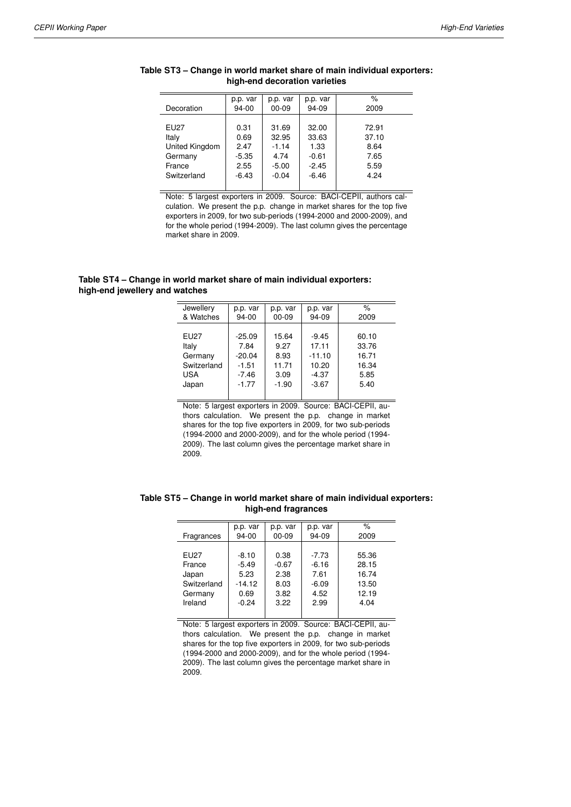|                | p.p. var  | p.p. var  | p.p. var | %     |
|----------------|-----------|-----------|----------|-------|
| Decoration     | $94 - 00$ | $00 - 09$ | 94-09    | 2009  |
|                |           |           |          |       |
| <b>EU27</b>    | 0.31      | 31.69     | 32.00    | 72.91 |
| Italy          | 0.69      | 32.95     | 33.63    | 37.10 |
| United Kingdom | 2.47      | $-1.14$   | 1.33     | 8.64  |
| Germany        | $-5.35$   | 4.74      | $-0.61$  | 7.65  |
| France         | 2.55      | $-5.00$   | $-2.45$  | 5.59  |
| Switzerland    | $-6.43$   | $-0.04$   | $-6.46$  | 4.24  |
|                |           |           |          |       |

#### <span id="page-27-0"></span>**Table ST3 – Change in world market share of main individual exporters: high-end decoration varieties**

Note: 5 largest exporters in 2009. Source: BACI-CEPII, authors calculation. We present the p.p. change in market shares for the top five exporters in 2009, for two sub-periods (1994-2000 and 2000-2009), and for the whole period (1994-2009). The last column gives the percentage market share in 2009.

#### <span id="page-27-1"></span>**Table ST4 – Change in world market share of main individual exporters: high-end jewellery and watches**

| Jewellery   | p.p. var | p.p. var  | p.p. var | $\frac{1}{\alpha}$ |
|-------------|----------|-----------|----------|--------------------|
| & Watches   | 94-00    | $00 - 09$ | 94-09    | 2009               |
|             |          |           |          |                    |
| <b>EU27</b> | $-25.09$ | 15.64     | $-9.45$  | 60.10              |
| Italy       | 7.84     | 9.27      | 17.11    | 33.76              |
| Germany     | $-20.04$ | 8.93      | $-11.10$ | 16.71              |
| Switzerland | $-1.51$  | 11.71     | 10.20    | 16.34              |
| <b>USA</b>  | $-7.46$  | 3.09      | $-4.37$  | 5.85               |
| Japan       | $-1.77$  | $-1.90$   | $-3.67$  | 5.40               |
|             |          |           |          |                    |

Note: 5 largest exporters in 2009. Source: BACI-CEPII, authors calculation. We present the p.p. change in market shares for the top five exporters in 2009, for two sub-periods (1994-2000 and 2000-2009), and for the whole period (1994- 2009). The last column gives the percentage market share in 2009.

|             | p.p. var | p.p. var  | p.p. var | $\%$  |
|-------------|----------|-----------|----------|-------|
| Fragrances  | 94-00    | $00 - 09$ | 94-09    | 2009  |
|             |          |           |          |       |
| <b>EU27</b> | $-8.10$  | 0.38      | $-7.73$  | 55.36 |
| France      | $-5.49$  | $-0.67$   | $-6.16$  | 28.15 |
| Japan       | 5.23     | 2.38      | 7.61     | 16.74 |
| Switzerland | $-14.12$ | 8.03      | $-6.09$  | 13.50 |
| Germany     | 0.69     | 3.82      | 4.52     | 12.19 |
| Ireland     | $-0.24$  | 3.22      | 2.99     | 4.04  |
|             |          |           |          |       |

#### <span id="page-27-2"></span>**Table ST5 – Change in world market share of main individual exporters: high-end fragrances**

Note: 5 largest exporters in 2009. Source: BACI-CEPII, authors calculation. We present the p.p. change in market shares for the top five exporters in 2009, for two sub-periods (1994-2000 and 2000-2009), and for the whole period (1994- 2009). The last column gives the percentage market share in 2009.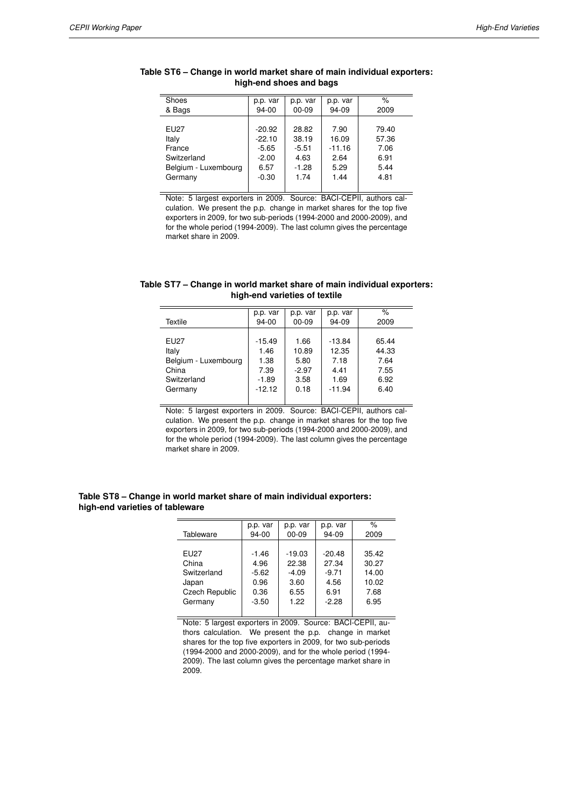| Shoes                | p.p. var | p.p. var  | p.p. var | %     |
|----------------------|----------|-----------|----------|-------|
| & Bags               | 94-00    | $00 - 09$ | 94-09    | 2009  |
|                      |          |           |          |       |
| <b>EU27</b>          | $-20.92$ | 28.82     | 7.90     | 79.40 |
| Italy                | $-22.10$ | 38.19     | 16.09    | 57.36 |
| France               | $-5.65$  | $-5.51$   | $-11.16$ | 7.06  |
| Switzerland          | $-2.00$  | 4.63      | 2.64     | 6.91  |
| Belgium - Luxembourg | 6.57     | $-1.28$   | 5.29     | 5.44  |
| Germany              | $-0.30$  | 1.74      | 1.44     | 4.81  |
|                      |          |           |          |       |

#### <span id="page-28-0"></span>**Table ST6 – Change in world market share of main individual exporters: high-end shoes and bags**

Note: 5 largest exporters in 2009. Source: BACI-CEPII, authors calculation. We present the p.p. change in market shares for the top five exporters in 2009, for two sub-periods (1994-2000 and 2000-2009), and for the whole period (1994-2009). The last column gives the percentage market share in 2009.

#### <span id="page-28-1"></span>**Table ST7 – Change in world market share of main individual exporters: high-end varieties of textile**

|                      | p.p. var | p.p. var  | p.p. var | %     |
|----------------------|----------|-----------|----------|-------|
| Textile              | 94-00    | $00 - 09$ | 94-09    | 2009  |
|                      |          |           |          |       |
| <b>EU27</b>          | $-15.49$ | 1.66      | $-13.84$ | 65.44 |
| Italy                | 1.46     | 10.89     | 12.35    | 44.33 |
| Belgium - Luxembourg | 1.38     | 5.80      | 7.18     | 7.64  |
| China                | 7.39     | $-2.97$   | 4.41     | 7.55  |
| Switzerland          | $-1.89$  | 3.58      | 1.69     | 6.92  |
| Germany              | $-12.12$ | 0.18      | $-11.94$ | 6.40  |
|                      |          |           |          |       |

Note: 5 largest exporters in 2009. Source: BACI-CEPII, authors calculation. We present the p.p. change in market shares for the top five exporters in 2009, for two sub-periods (1994-2000 and 2000-2009), and for the whole period (1994-2009). The last column gives the percentage market share in 2009.

#### <span id="page-28-2"></span>**Table ST8 – Change in world market share of main individual exporters: high-end varieties of tableware**

|                | p.p. var | p.p. var  | p.p. var | $\%$  |
|----------------|----------|-----------|----------|-------|
| Tableware      | $94-00$  | $00 - 09$ | 94-09    | 2009  |
|                |          |           |          |       |
| EU27           | $-1.46$  | $-19.03$  | $-20.48$ | 35.42 |
| China          | 4.96     | 22.38     | 27.34    | 30.27 |
| Switzerland    | $-5.62$  | $-4.09$   | $-9.71$  | 14.00 |
| Japan          | 0.96     | 3.60      | 4.56     | 10.02 |
| Czech Republic | 0.36     | 6.55      | 6.91     | 7.68  |
| Germany        | $-3.50$  | 1.22      | $-2.28$  | 6.95  |
|                |          |           |          |       |

Note: 5 largest exporters in 2009. Source: BACI-CEPII, authors calculation. We present the p.p. change in market shares for the top five exporters in 2009, for two sub-periods (1994-2000 and 2000-2009), and for the whole period (1994- 2009). The last column gives the percentage market share in 2009.